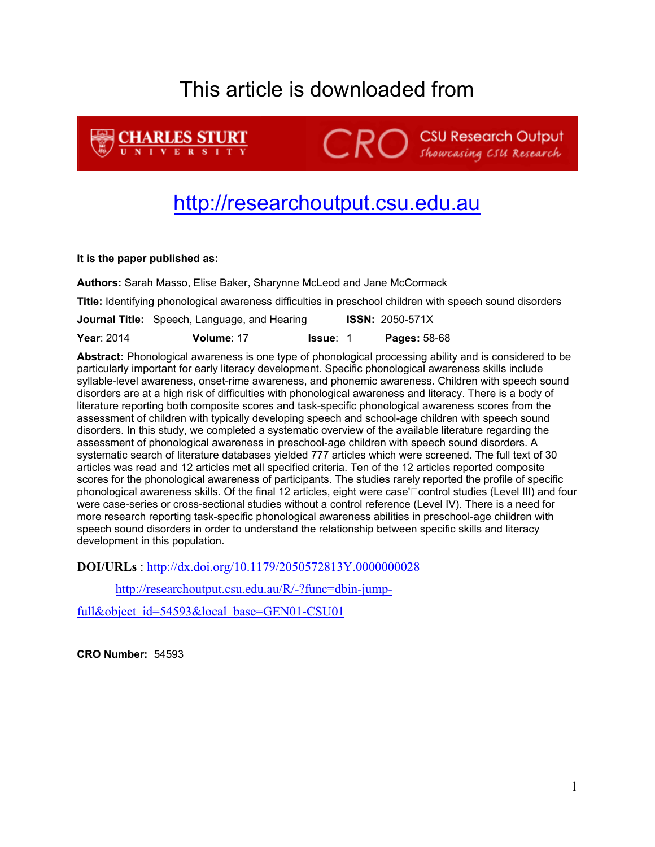# This article is downloaded from

**CHARLES STURT CRO** Showcasing CSU Research Output

# [http://researchoutput.csu.edu.au](http://researchoutput.csu.edu.au/)

### **It is the paper published as:**

**Authors:** Sarah Masso, Elise Baker, Sharynne McLeod and Jane McCormack

**Title:** Identifying phonological awareness difficulties in preschool children with speech sound disorders

**Journal Title:** Speech, Language, and Hearing **ISSN:** 2050-571X

**Year**: 2014 **Volume**: 17 **Issue**: 1 **Pages:** 58-68

**Abstract:** Phonological awareness is one type of phonological processing ability and is considered to be particularly important for early literacy development. Specific phonological awareness skills include syllable-level awareness, onset-rime awareness, and phonemic awareness. Children with speech sound disorders are at a high risk of difficulties with phonological awareness and literacy. There is a body of literature reporting both composite scores and task-specific phonological awareness scores from the assessment of children with typically developing speech and school-age children with speech sound disorders. In this study, we completed a systematic overview of the available literature regarding the assessment of phonological awareness in preschool-age children with speech sound disorders. A systematic search of literature databases yielded 777 articles which were screened. The full text of 30 articles was read and 12 articles met all specified criteria. Ten of the 12 articles reported composite scores for the phonological awareness of participants. The studies rarely reported the profile of specific phonological awareness skills. Of the final 12 articles, eight were case'" control studies (Level III) and four were case-series or cross-sectional studies without a control reference (Level IV). There is a need for more research reporting task-specific phonological awareness abilities in preschool-age children with speech sound disorders in order to understand the relationship between specific skills and literacy development in this population.

**DOI/URLs** :<http://dx.doi.org/10.1179/2050572813Y.0000000028>

[http://researchoutput.csu.edu.au/R/-?func=dbin-jump-](http://researchoutput.csu.edu.au/R/-?func=dbin-jump-full&object_id=54593&local_base=GEN01-CSU01)

[full&object\\_id=54593&local\\_base=GEN01-CSU01](http://researchoutput.csu.edu.au/R/-?func=dbin-jump-full&object_id=54593&local_base=GEN01-CSU01)

**CRO Number:** 54593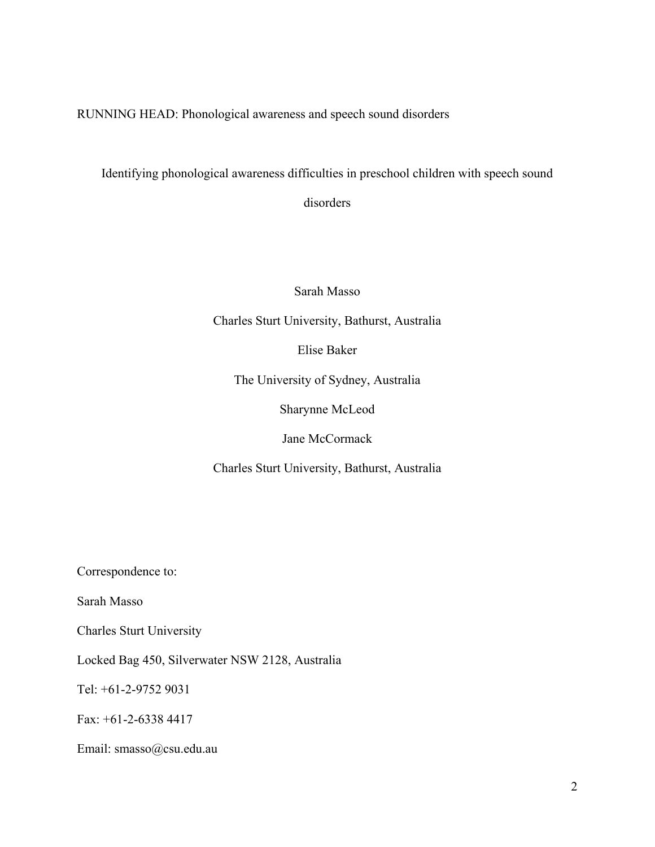RUNNING HEAD: Phonological awareness and speech sound disorders

Identifying phonological awareness difficulties in preschool children with speech sound

disorders

Sarah Masso

Charles Sturt University, Bathurst, Australia

Elise Baker

The University of Sydney, Australia

Sharynne McLeod

Jane McCormack

Charles Sturt University, Bathurst, Australia

Correspondence to:

Sarah Masso

Charles Sturt University

Locked Bag 450, Silverwater NSW 2128, Australia

Tel: +61-2-9752 9031

Fax: +61-2-6338 4417

Email: smasso@csu.edu.au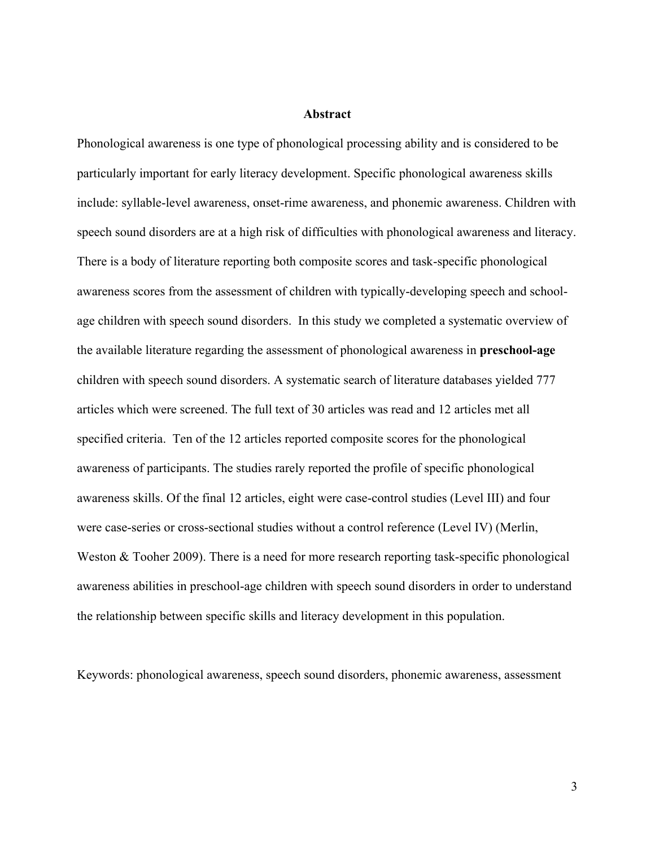### **Abstract**

Phonological awareness is one type of phonological processing ability and is considered to be particularly important for early literacy development. Specific phonological awareness skills include: syllable-level awareness, onset-rime awareness, and phonemic awareness. Children with speech sound disorders are at a high risk of difficulties with phonological awareness and literacy. There is a body of literature reporting both composite scores and task-specific phonological awareness scores from the assessment of children with typically-developing speech and schoolage children with speech sound disorders. In this study we completed a systematic overview of the available literature regarding the assessment of phonological awareness in **preschool-age** children with speech sound disorders. A systematic search of literature databases yielded 777 articles which were screened. The full text of 30 articles was read and 12 articles met all specified criteria. Ten of the 12 articles reported composite scores for the phonological awareness of participants. The studies rarely reported the profile of specific phonological awareness skills. Of the final 12 articles, eight were case-control studies (Level III) and four were case-series or cross-sectional studies without a control reference (Level IV) (Merlin, Weston & Tooher 2009). There is a need for more research reporting task-specific phonological awareness abilities in preschool-age children with speech sound disorders in order to understand the relationship between specific skills and literacy development in this population.

Keywords: phonological awareness, speech sound disorders, phonemic awareness, assessment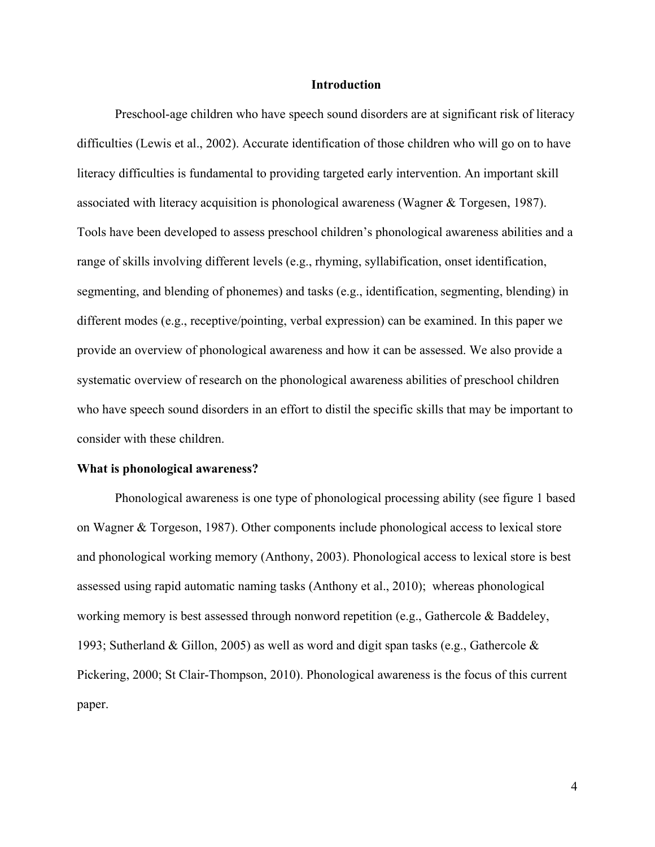#### **Introduction**

Preschool-age children who have speech sound disorders are at significant risk of literacy difficulties (Lewis et al., 2002). Accurate identification of those children who will go on to have literacy difficulties is fundamental to providing targeted early intervention. An important skill associated with literacy acquisition is phonological awareness (Wagner & Torgesen, 1987). Tools have been developed to assess preschool children's phonological awareness abilities and a range of skills involving different levels (e.g., rhyming, syllabification, onset identification, segmenting, and blending of phonemes) and tasks (e.g., identification, segmenting, blending) in different modes (e.g., receptive/pointing, verbal expression) can be examined. In this paper we provide an overview of phonological awareness and how it can be assessed. We also provide a systematic overview of research on the phonological awareness abilities of preschool children who have speech sound disorders in an effort to distil the specific skills that may be important to consider with these children.

#### **What is phonological awareness?**

Phonological awareness is one type of phonological processing ability (see figure 1 based on Wagner & Torgeson, 1987). Other components include phonological access to lexical store and phonological working memory (Anthony, 2003). Phonological access to lexical store is best assessed using rapid automatic naming tasks (Anthony et al., 2010); whereas phonological working memory is best assessed through nonword repetition (e.g., Gathercole & Baddeley, 1993; Sutherland & Gillon, 2005) as well as word and digit span tasks (e.g., Gathercole  $\&$ Pickering, 2000; St Clair-Thompson, 2010). Phonological awareness is the focus of this current paper.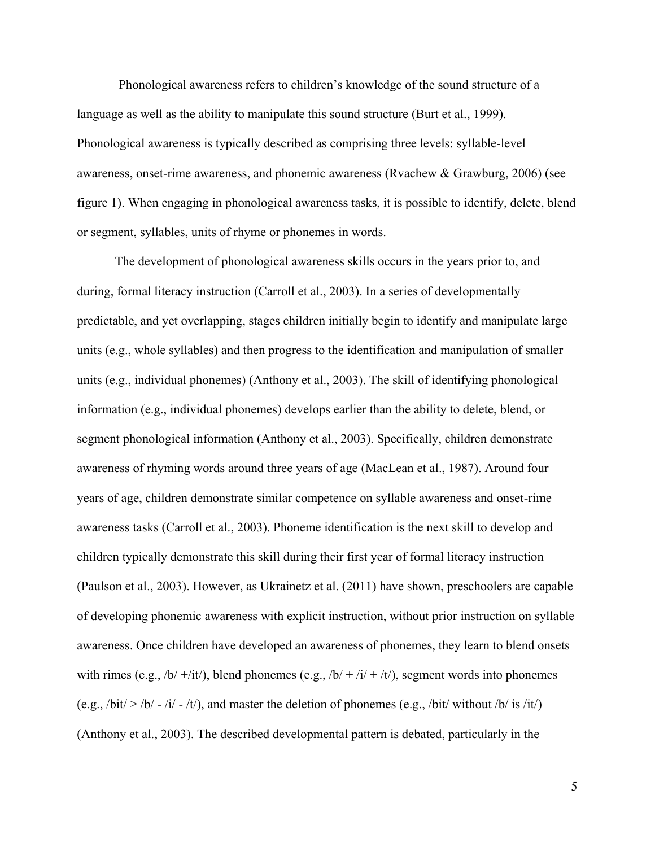Phonological awareness refers to children's knowledge of the sound structure of a language as well as the ability to manipulate this sound structure (Burt et al., 1999). Phonological awareness is typically described as comprising three levels: syllable-level awareness, onset-rime awareness, and phonemic awareness (Rvachew & Grawburg, 2006) (see figure 1). When engaging in phonological awareness tasks, it is possible to identify, delete, blend or segment, syllables, units of rhyme or phonemes in words.

The development of phonological awareness skills occurs in the years prior to, and during, formal literacy instruction (Carroll et al., 2003). In a series of developmentally predictable, and yet overlapping, stages children initially begin to identify and manipulate large units (e.g., whole syllables) and then progress to the identification and manipulation of smaller units (e.g., individual phonemes) (Anthony et al., 2003). The skill of identifying phonological information (e.g., individual phonemes) develops earlier than the ability to delete, blend, or segment phonological information (Anthony et al., 2003). Specifically, children demonstrate awareness of rhyming words around three years of age (MacLean et al., 1987). Around four years of age, children demonstrate similar competence on syllable awareness and onset-rime awareness tasks (Carroll et al., 2003). Phoneme identification is the next skill to develop and children typically demonstrate this skill during their first year of formal literacy instruction (Paulson et al., 2003). However, as Ukrainetz et al. (2011) have shown, preschoolers are capable of developing phonemic awareness with explicit instruction, without prior instruction on syllable awareness. Once children have developed an awareness of phonemes, they learn to blend onsets with rimes (e.g.,  $/b/ +/it/$ ), blend phonemes (e.g.,  $/b/ +/i/ +/it/$ ), segment words into phonemes (e.g.,  $\frac{\partial \mathbf{b}}{\partial t}$  >  $\frac{\partial \mathbf{b}}{\partial t}$  -  $\frac{\partial \mathbf{b}}{\partial t}$  -  $\frac{\partial \mathbf{b}}{\partial t}$ ), and master the deletion of phonemes (e.g.,  $\frac{\partial \mathbf{b}}{\partial t}$  without  $\frac{\partial \mathbf{b}}{\partial t}$  is  $\frac{\partial \mathbf{b}}{\partial t}$ ) (Anthony et al., 2003). The described developmental pattern is debated, particularly in the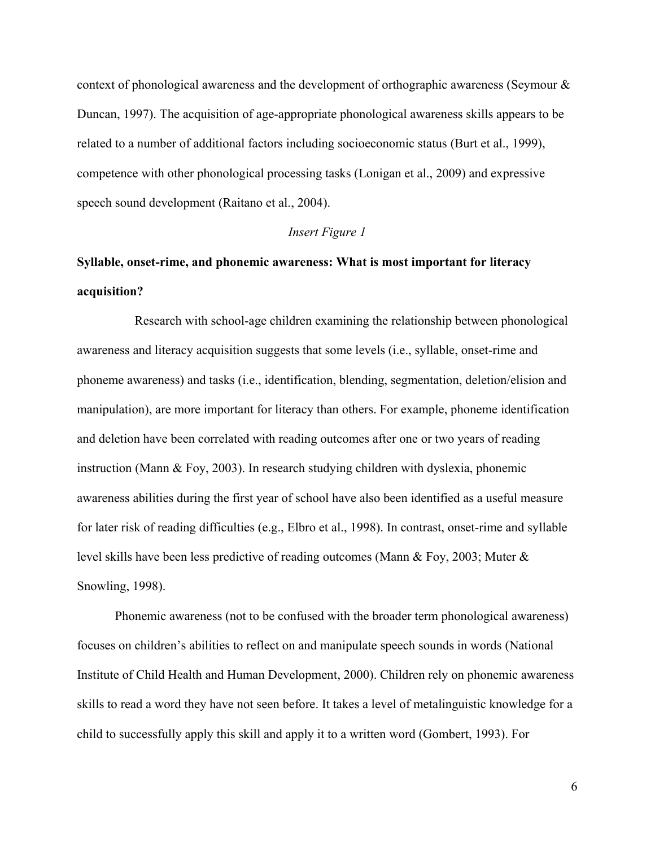context of phonological awareness and the development of orthographic awareness (Seymour & Duncan, 1997). The acquisition of age-appropriate phonological awareness skills appears to be related to a number of additional factors including socioeconomic status (Burt et al., 1999), competence with other phonological processing tasks (Lonigan et al., 2009) and expressive speech sound development (Raitano et al., 2004).

## *Insert Figure 1*

# **Syllable, onset-rime, and phonemic awareness: What is most important for literacy acquisition?**

Research with school-age children examining the relationship between phonological awareness and literacy acquisition suggests that some levels (i.e., syllable, onset-rime and phoneme awareness) and tasks (i.e., identification, blending, segmentation, deletion/elision and manipulation), are more important for literacy than others. For example, phoneme identification and deletion have been correlated with reading outcomes after one or two years of reading instruction (Mann & Foy, 2003). In research studying children with dyslexia, phonemic awareness abilities during the first year of school have also been identified as a useful measure for later risk of reading difficulties (e.g., Elbro et al., 1998). In contrast, onset-rime and syllable level skills have been less predictive of reading outcomes (Mann & Foy, 2003; Muter & Snowling, 1998).

Phonemic awareness (not to be confused with the broader term phonological awareness) focuses on children's abilities to reflect on and manipulate speech sounds in words (National Institute of Child Health and Human Development, 2000). Children rely on phonemic awareness skills to read a word they have not seen before. It takes a level of metalinguistic knowledge for a child to successfully apply this skill and apply it to a written word (Gombert, 1993). For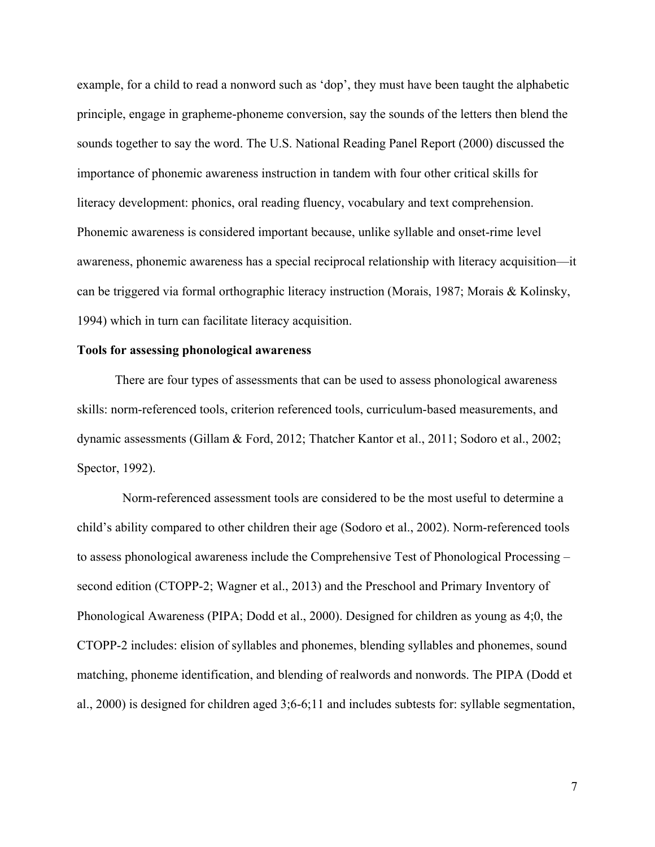example, for a child to read a nonword such as 'dop', they must have been taught the alphabetic principle, engage in grapheme-phoneme conversion, say the sounds of the letters then blend the sounds together to say the word. The U.S. National Reading Panel Report (2000) discussed the importance of phonemic awareness instruction in tandem with four other critical skills for literacy development: phonics, oral reading fluency, vocabulary and text comprehension. Phonemic awareness is considered important because, unlike syllable and onset-rime level awareness, phonemic awareness has a special reciprocal relationship with literacy acquisition—it can be triggered via formal orthographic literacy instruction (Morais, 1987; Morais & Kolinsky, 1994) which in turn can facilitate literacy acquisition.

### **Tools for assessing phonological awareness**

There are four types of assessments that can be used to assess phonological awareness skills: norm-referenced tools, criterion referenced tools, curriculum-based measurements, and dynamic assessments (Gillam & Ford, 2012; Thatcher Kantor et al., 2011; Sodoro et al., 2002; Spector, 1992).

Norm-referenced assessment tools are considered to be the most useful to determine a child's ability compared to other children their age (Sodoro et al., 2002). Norm-referenced tools to assess phonological awareness include the Comprehensive Test of Phonological Processing – second edition (CTOPP-2; Wagner et al., 2013) and the Preschool and Primary Inventory of Phonological Awareness (PIPA; Dodd et al., 2000). Designed for children as young as 4;0, the CTOPP-2 includes: elision of syllables and phonemes, blending syllables and phonemes, sound matching, phoneme identification, and blending of realwords and nonwords. The PIPA (Dodd et al., 2000) is designed for children aged 3;6-6;11 and includes subtests for: syllable segmentation,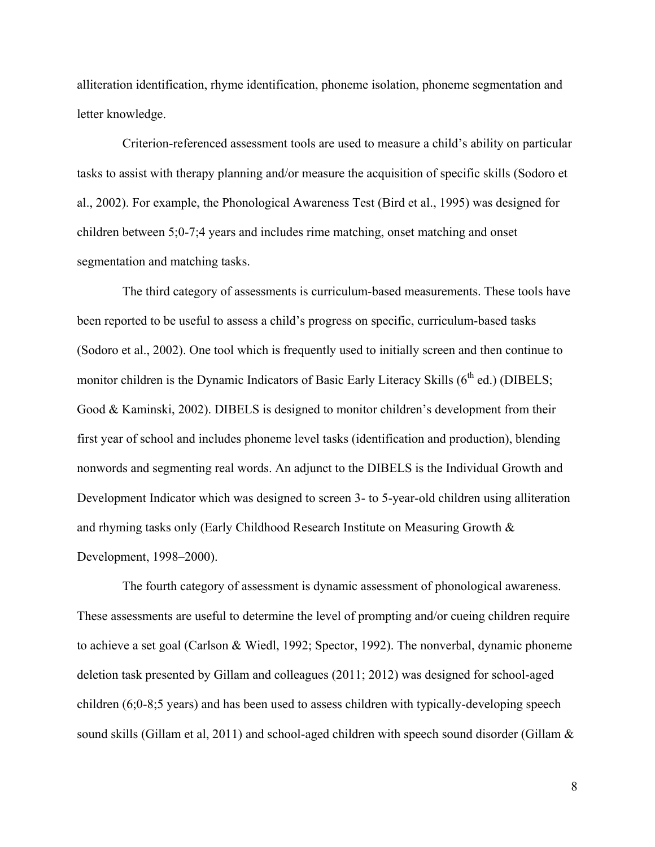alliteration identification, rhyme identification, phoneme isolation, phoneme segmentation and letter knowledge.

Criterion-referenced assessment tools are used to measure a child's ability on particular tasks to assist with therapy planning and/or measure the acquisition of specific skills (Sodoro et al., 2002). For example, the Phonological Awareness Test (Bird et al., 1995) was designed for children between 5;0-7;4 years and includes rime matching, onset matching and onset segmentation and matching tasks.

The third category of assessments is curriculum-based measurements. These tools have been reported to be useful to assess a child's progress on specific, curriculum-based tasks (Sodoro et al., 2002). One tool which is frequently used to initially screen and then continue to monitor children is the Dynamic Indicators of Basic Early Literacy Skills  $(6<sup>th</sup>$  ed.) (DIBELS; Good & Kaminski, 2002). DIBELS is designed to monitor children's development from their first year of school and includes phoneme level tasks (identification and production), blending nonwords and segmenting real words. An adjunct to the DIBELS is the Individual Growth and Development Indicator which was designed to screen 3- to 5-year-old children using alliteration and rhyming tasks only (Early Childhood Research Institute on Measuring Growth & Development, 1998–2000).

The fourth category of assessment is dynamic assessment of phonological awareness. These assessments are useful to determine the level of prompting and/or cueing children require to achieve a set goal (Carlson & Wiedl, 1992; Spector, 1992). The nonverbal, dynamic phoneme deletion task presented by Gillam and colleagues (2011; 2012) was designed for school-aged children (6;0-8;5 years) and has been used to assess children with typically-developing speech sound skills (Gillam et al, 2011) and school-aged children with speech sound disorder (Gillam &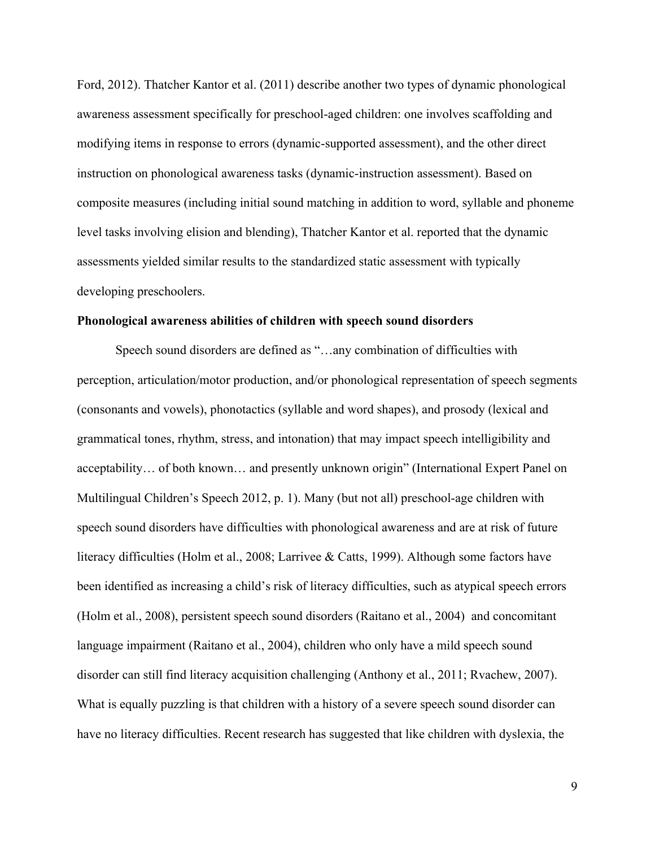Ford, 2012). Thatcher Kantor et al. (2011) describe another two types of dynamic phonological awareness assessment specifically for preschool-aged children: one involves scaffolding and modifying items in response to errors (dynamic-supported assessment), and the other direct instruction on phonological awareness tasks (dynamic-instruction assessment). Based on composite measures (including initial sound matching in addition to word, syllable and phoneme level tasks involving elision and blending), Thatcher Kantor et al. reported that the dynamic assessments yielded similar results to the standardized static assessment with typically developing preschoolers.

#### **Phonological awareness abilities of children with speech sound disorders**

Speech sound disorders are defined as "…any combination of difficulties with perception, articulation/motor production, and/or phonological representation of speech segments (consonants and vowels), phonotactics (syllable and word shapes), and prosody (lexical and grammatical tones, rhythm, stress, and intonation) that may impact speech intelligibility and acceptability… of both known… and presently unknown origin" (International Expert Panel on Multilingual Children's Speech 2012, p. 1). Many (but not all) preschool-age children with speech sound disorders have difficulties with phonological awareness and are at risk of future literacy difficulties (Holm et al., 2008; Larrivee & Catts, 1999). Although some factors have been identified as increasing a child's risk of literacy difficulties, such as atypical speech errors (Holm et al., 2008), persistent speech sound disorders (Raitano et al., 2004) and concomitant language impairment (Raitano et al., 2004), children who only have a mild speech sound disorder can still find literacy acquisition challenging (Anthony et al., 2011; Rvachew, 2007). What is equally puzzling is that children with a history of a severe speech sound disorder can have no literacy difficulties. Recent research has suggested that like children with dyslexia, the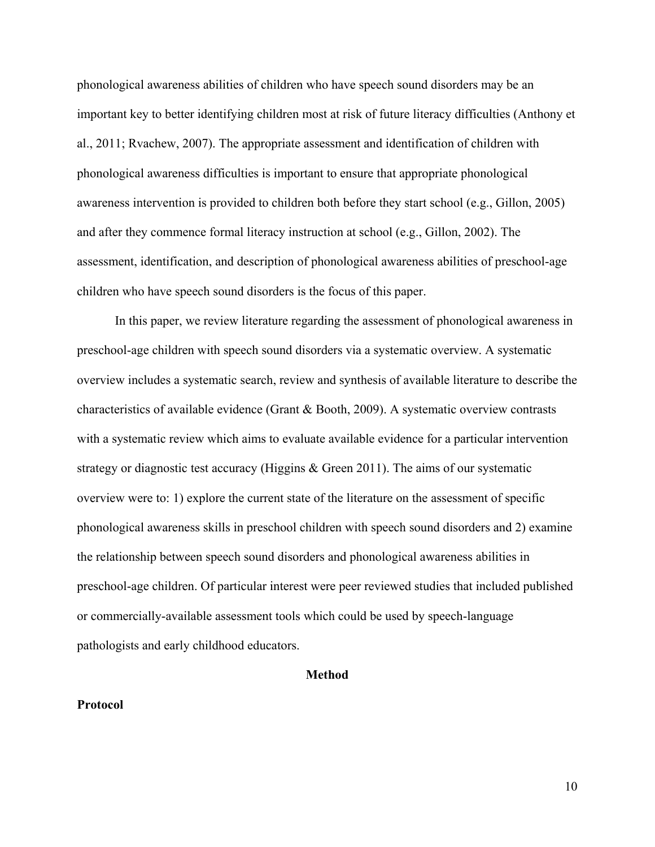phonological awareness abilities of children who have speech sound disorders may be an important key to better identifying children most at risk of future literacy difficulties (Anthony et al., 2011; Rvachew, 2007). The appropriate assessment and identification of children with phonological awareness difficulties is important to ensure that appropriate phonological awareness intervention is provided to children both before they start school (e.g., Gillon, 2005) and after they commence formal literacy instruction at school (e.g., Gillon, 2002). The assessment, identification, and description of phonological awareness abilities of preschool-age children who have speech sound disorders is the focus of this paper.

In this paper, we review literature regarding the assessment of phonological awareness in preschool-age children with speech sound disorders via a systematic overview. A systematic overview includes a systematic search, review and synthesis of available literature to describe the characteristics of available evidence (Grant & Booth, 2009). A systematic overview contrasts with a systematic review which aims to evaluate available evidence for a particular intervention strategy or diagnostic test accuracy (Higgins & Green 2011). The aims of our systematic overview were to: 1) explore the current state of the literature on the assessment of specific phonological awareness skills in preschool children with speech sound disorders and 2) examine the relationship between speech sound disorders and phonological awareness abilities in preschool-age children. Of particular interest were peer reviewed studies that included published or commercially-available assessment tools which could be used by speech-language pathologists and early childhood educators.

#### **Method**

#### **Protocol**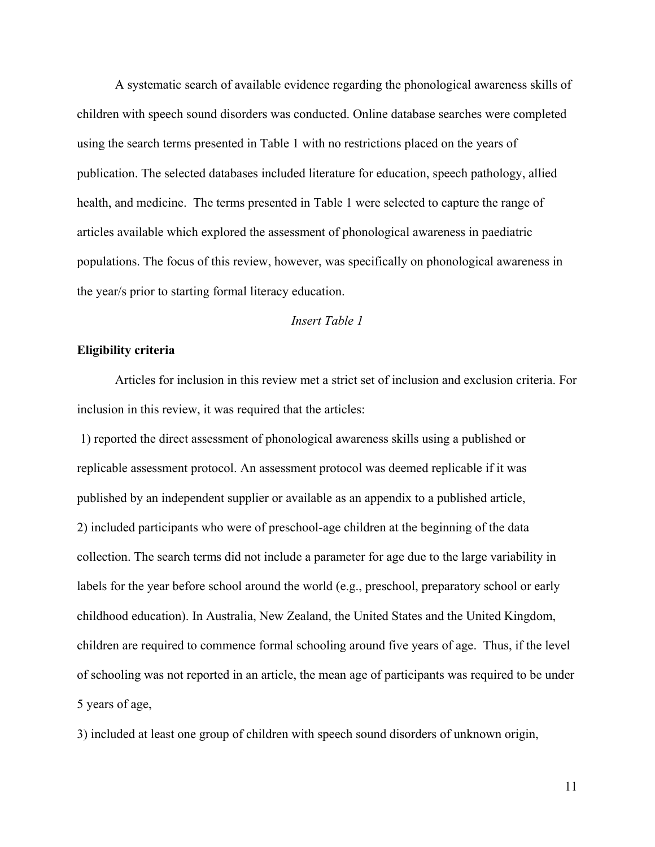A systematic search of available evidence regarding the phonological awareness skills of children with speech sound disorders was conducted. Online database searches were completed using the search terms presented in Table 1 with no restrictions placed on the years of publication. The selected databases included literature for education, speech pathology, allied health, and medicine. The terms presented in Table 1 were selected to capture the range of articles available which explored the assessment of phonological awareness in paediatric populations. The focus of this review, however, was specifically on phonological awareness in the year/s prior to starting formal literacy education.

# *Insert Table 1*

# **Eligibility criteria**

Articles for inclusion in this review met a strict set of inclusion and exclusion criteria. For inclusion in this review, it was required that the articles:

1) reported the direct assessment of phonological awareness skills using a published or replicable assessment protocol. An assessment protocol was deemed replicable if it was published by an independent supplier or available as an appendix to a published article, 2) included participants who were of preschool-age children at the beginning of the data collection. The search terms did not include a parameter for age due to the large variability in labels for the year before school around the world (e.g., preschool, preparatory school or early childhood education). In Australia, New Zealand, the United States and the United Kingdom, children are required to commence formal schooling around five years of age. Thus, if the level of schooling was not reported in an article, the mean age of participants was required to be under 5 years of age,

3) included at least one group of children with speech sound disorders of unknown origin,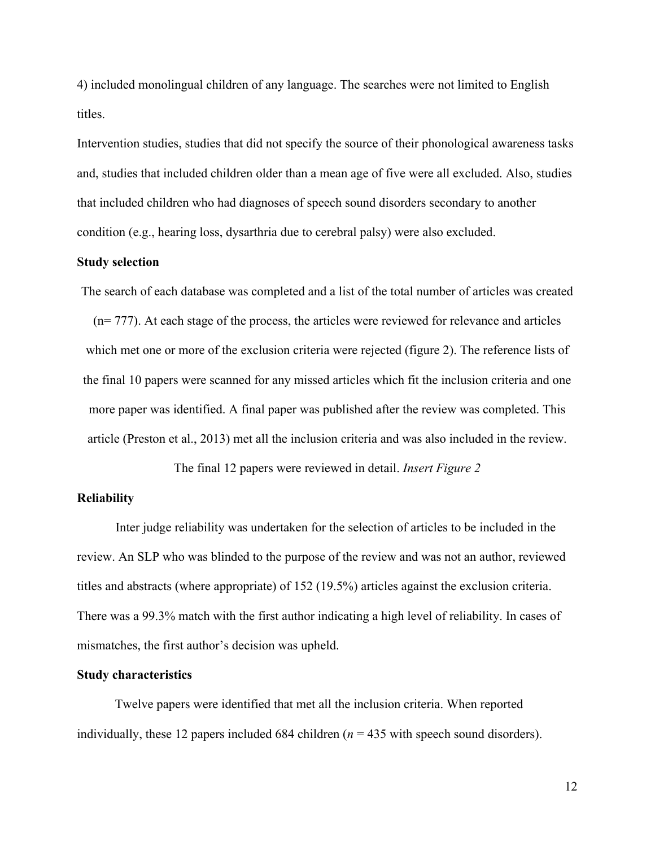4) included monolingual children of any language. The searches were not limited to English titles.

Intervention studies, studies that did not specify the source of their phonological awareness tasks and, studies that included children older than a mean age of five were all excluded. Also, studies that included children who had diagnoses of speech sound disorders secondary to another condition (e.g., hearing loss, dysarthria due to cerebral palsy) were also excluded.

### **Study selection**

The search of each database was completed and a list of the total number of articles was created

(n= 777). At each stage of the process, the articles were reviewed for relevance and articles which met one or more of the exclusion criteria were rejected (figure 2). The reference lists of the final 10 papers were scanned for any missed articles which fit the inclusion criteria and one more paper was identified. A final paper was published after the review was completed. This article (Preston et al., 2013) met all the inclusion criteria and was also included in the review.

The final 12 papers were reviewed in detail. *Insert Figure 2*

### **Reliability**

Inter judge reliability was undertaken for the selection of articles to be included in the review. An SLP who was blinded to the purpose of the review and was not an author, reviewed titles and abstracts (where appropriate) of 152 (19.5%) articles against the exclusion criteria. There was a 99.3% match with the first author indicating a high level of reliability. In cases of mismatches, the first author's decision was upheld.

## **Study characteristics**

Twelve papers were identified that met all the inclusion criteria. When reported individually, these 12 papers included 684 children (*n* = 435 with speech sound disorders).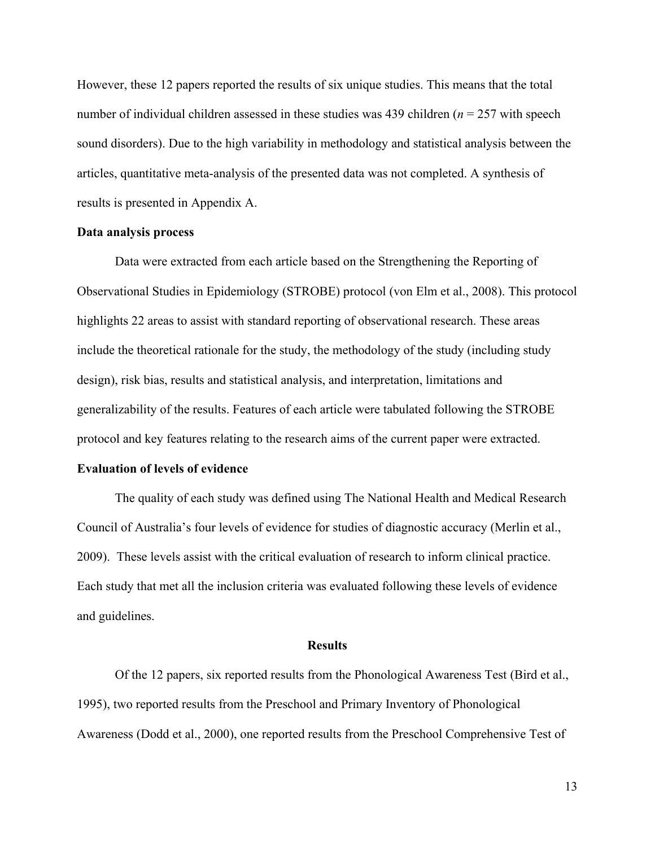However, these 12 papers reported the results of six unique studies. This means that the total number of individual children assessed in these studies was 439 children (*n* = 257 with speech sound disorders). Due to the high variability in methodology and statistical analysis between the articles, quantitative meta-analysis of the presented data was not completed. A synthesis of results is presented in Appendix A.

#### **Data analysis process**

Data were extracted from each article based on the Strengthening the Reporting of Observational Studies in Epidemiology (STROBE) protocol (von Elm et al., 2008). This protocol highlights 22 areas to assist with standard reporting of observational research. These areas include the theoretical rationale for the study, the methodology of the study (including study design), risk bias, results and statistical analysis, and interpretation, limitations and generalizability of the results. Features of each article were tabulated following the STROBE protocol and key features relating to the research aims of the current paper were extracted.

### **Evaluation of levels of evidence**

The quality of each study was defined using The National Health and Medical Research Council of Australia's four levels of evidence for studies of diagnostic accuracy (Merlin et al., 2009). These levels assist with the critical evaluation of research to inform clinical practice. Each study that met all the inclusion criteria was evaluated following these levels of evidence and guidelines.

#### **Results**

Of the 12 papers, six reported results from the Phonological Awareness Test (Bird et al., 1995), two reported results from the Preschool and Primary Inventory of Phonological Awareness (Dodd et al., 2000), one reported results from the Preschool Comprehensive Test of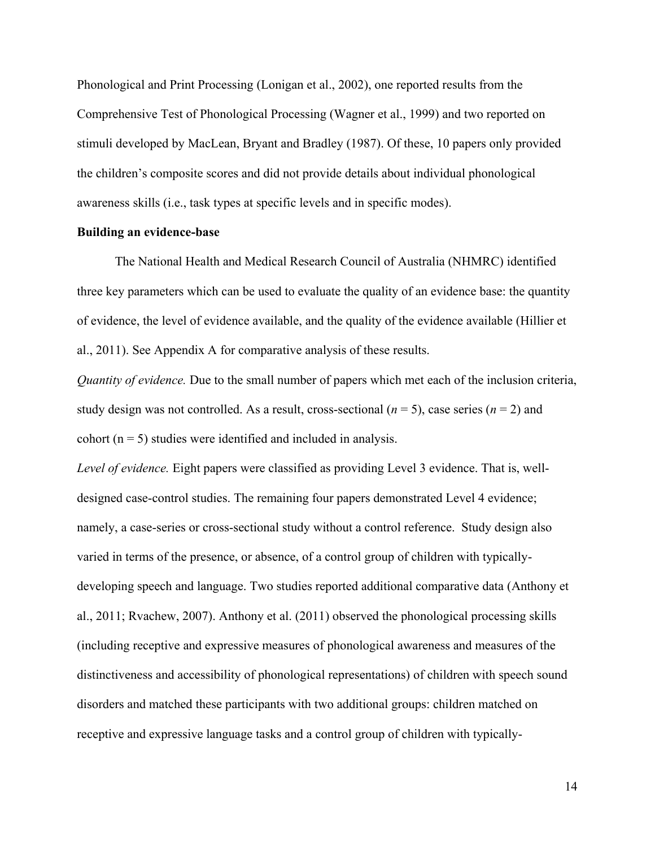Phonological and Print Processing (Lonigan et al., 2002), one reported results from the Comprehensive Test of Phonological Processing (Wagner et al., 1999) and two reported on stimuli developed by MacLean, Bryant and Bradley (1987). Of these, 10 papers only provided the children's composite scores and did not provide details about individual phonological awareness skills (i.e., task types at specific levels and in specific modes).

#### **Building an evidence-base**

The National Health and Medical Research Council of Australia (NHMRC) identified three key parameters which can be used to evaluate the quality of an evidence base: the quantity of evidence, the level of evidence available, and the quality of the evidence available (Hillier et al., 2011). See Appendix A for comparative analysis of these results.

*Quantity of evidence.* Due to the small number of papers which met each of the inclusion criteria, study design was not controlled. As a result, cross-sectional  $(n = 5)$ , case series  $(n = 2)$  and cohort ( $n = 5$ ) studies were identified and included in analysis.

*Level of evidence.* Eight papers were classified as providing Level 3 evidence. That is, welldesigned case-control studies. The remaining four papers demonstrated Level 4 evidence; namely, a case-series or cross-sectional study without a control reference. Study design also varied in terms of the presence, or absence, of a control group of children with typicallydeveloping speech and language. Two studies reported additional comparative data (Anthony et al., 2011; Rvachew, 2007). Anthony et al. (2011) observed the phonological processing skills (including receptive and expressive measures of phonological awareness and measures of the distinctiveness and accessibility of phonological representations) of children with speech sound disorders and matched these participants with two additional groups: children matched on receptive and expressive language tasks and a control group of children with typically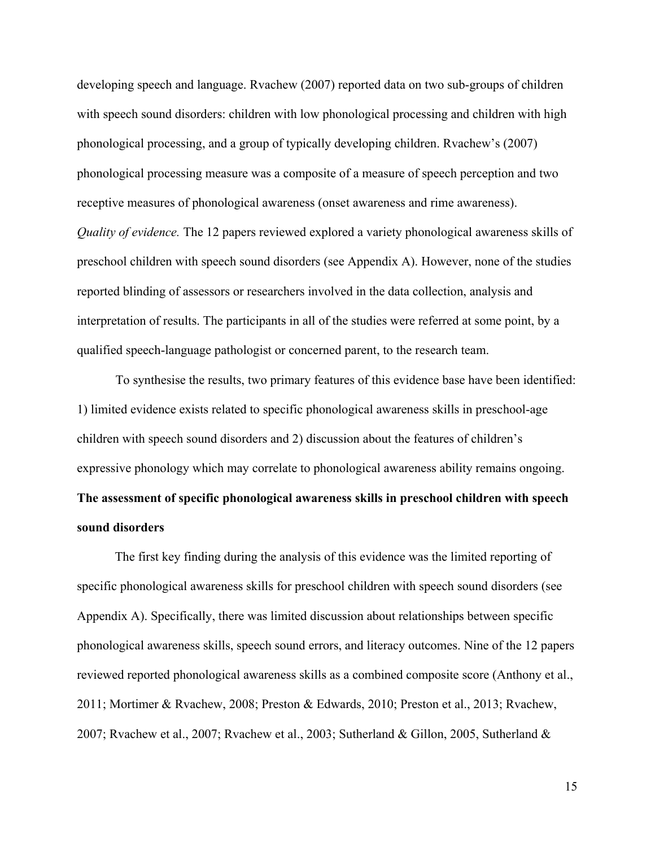developing speech and language. Rvachew (2007) reported data on two sub-groups of children with speech sound disorders: children with low phonological processing and children with high phonological processing, and a group of typically developing children. Rvachew's (2007) phonological processing measure was a composite of a measure of speech perception and two receptive measures of phonological awareness (onset awareness and rime awareness). *Quality of evidence.* The 12 papers reviewed explored a variety phonological awareness skills of preschool children with speech sound disorders (see Appendix A). However, none of the studies reported blinding of assessors or researchers involved in the data collection, analysis and interpretation of results. The participants in all of the studies were referred at some point, by a qualified speech-language pathologist or concerned parent, to the research team.

To synthesise the results, two primary features of this evidence base have been identified: 1) limited evidence exists related to specific phonological awareness skills in preschool-age children with speech sound disorders and 2) discussion about the features of children's expressive phonology which may correlate to phonological awareness ability remains ongoing. **The assessment of specific phonological awareness skills in preschool children with speech sound disorders**

The first key finding during the analysis of this evidence was the limited reporting of specific phonological awareness skills for preschool children with speech sound disorders (see Appendix A). Specifically, there was limited discussion about relationships between specific phonological awareness skills, speech sound errors, and literacy outcomes. Nine of the 12 papers reviewed reported phonological awareness skills as a combined composite score (Anthony et al., 2011; Mortimer & Rvachew, 2008; Preston & Edwards, 2010; Preston et al., 2013; Rvachew, 2007; Rvachew et al., 2007; Rvachew et al., 2003; Sutherland & Gillon, 2005, Sutherland &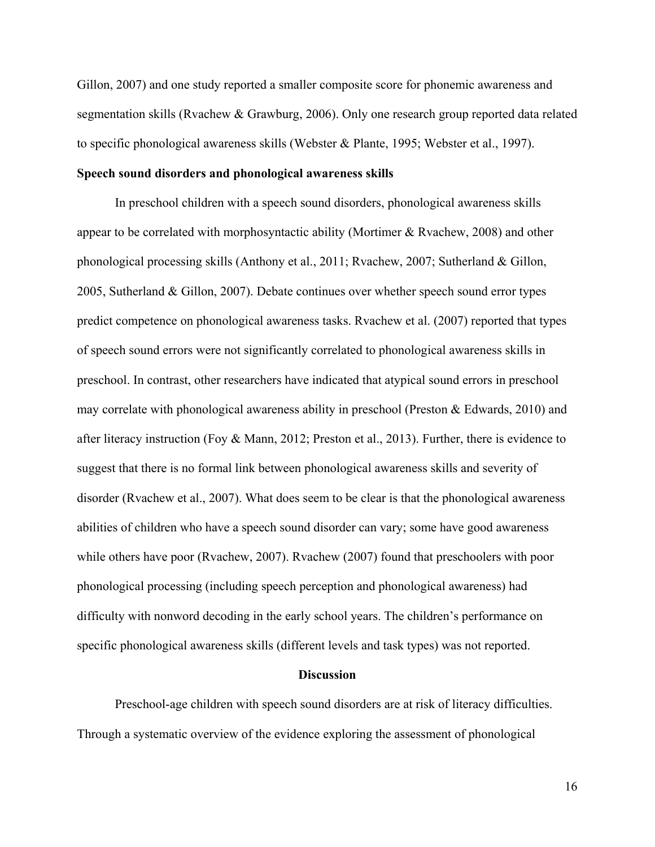Gillon, 2007) and one study reported a smaller composite score for phonemic awareness and segmentation skills (Rvachew & Grawburg, 2006). Only one research group reported data related to specific phonological awareness skills (Webster & Plante, 1995; Webster et al., 1997).

### **Speech sound disorders and phonological awareness skills**

In preschool children with a speech sound disorders, phonological awareness skills appear to be correlated with morphosyntactic ability (Mortimer & Rvachew, 2008) and other phonological processing skills (Anthony et al., 2011; Rvachew, 2007; Sutherland & Gillon, 2005, Sutherland & Gillon, 2007). Debate continues over whether speech sound error types predict competence on phonological awareness tasks. Rvachew et al. (2007) reported that types of speech sound errors were not significantly correlated to phonological awareness skills in preschool. In contrast, other researchers have indicated that atypical sound errors in preschool may correlate with phonological awareness ability in preschool (Preston & Edwards, 2010) and after literacy instruction (Foy & Mann, 2012; Preston et al., 2013). Further, there is evidence to suggest that there is no formal link between phonological awareness skills and severity of disorder (Rvachew et al., 2007). What does seem to be clear is that the phonological awareness abilities of children who have a speech sound disorder can vary; some have good awareness while others have poor (Rvachew, 2007). Rvachew (2007) found that preschoolers with poor phonological processing (including speech perception and phonological awareness) had difficulty with nonword decoding in the early school years. The children's performance on specific phonological awareness skills (different levels and task types) was not reported.

#### **Discussion**

Preschool-age children with speech sound disorders are at risk of literacy difficulties. Through a systematic overview of the evidence exploring the assessment of phonological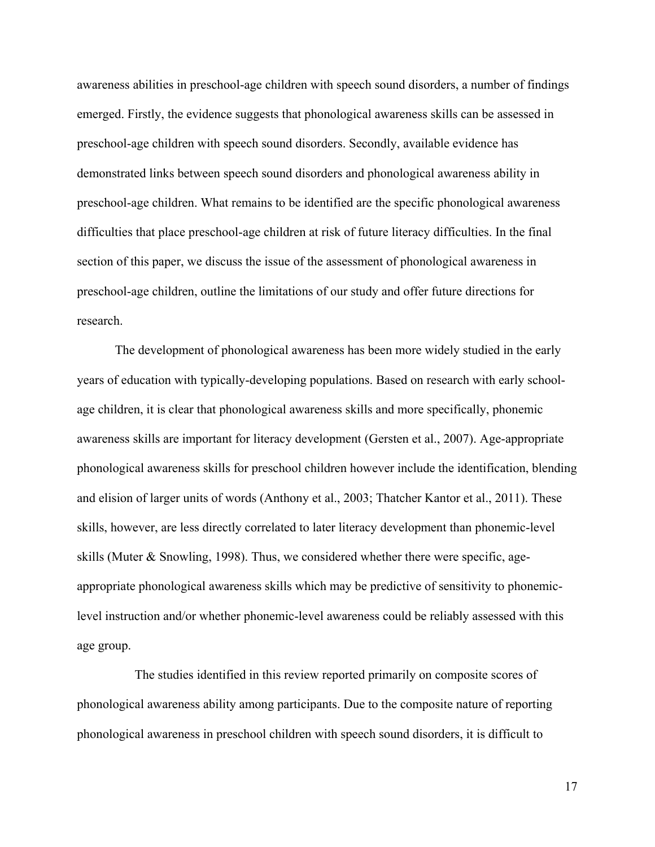awareness abilities in preschool-age children with speech sound disorders, a number of findings emerged. Firstly, the evidence suggests that phonological awareness skills can be assessed in preschool-age children with speech sound disorders. Secondly, available evidence has demonstrated links between speech sound disorders and phonological awareness ability in preschool-age children. What remains to be identified are the specific phonological awareness difficulties that place preschool-age children at risk of future literacy difficulties. In the final section of this paper, we discuss the issue of the assessment of phonological awareness in preschool-age children, outline the limitations of our study and offer future directions for research.

The development of phonological awareness has been more widely studied in the early years of education with typically-developing populations. Based on research with early schoolage children, it is clear that phonological awareness skills and more specifically, phonemic awareness skills are important for literacy development (Gersten et al., 2007). Age-appropriate phonological awareness skills for preschool children however include the identification, blending and elision of larger units of words (Anthony et al., 2003; Thatcher Kantor et al., 2011). These skills, however, are less directly correlated to later literacy development than phonemic-level skills (Muter  $\&$  Snowling, 1998). Thus, we considered whether there were specific, ageappropriate phonological awareness skills which may be predictive of sensitivity to phonemiclevel instruction and/or whether phonemic-level awareness could be reliably assessed with this age group.

The studies identified in this review reported primarily on composite scores of phonological awareness ability among participants. Due to the composite nature of reporting phonological awareness in preschool children with speech sound disorders, it is difficult to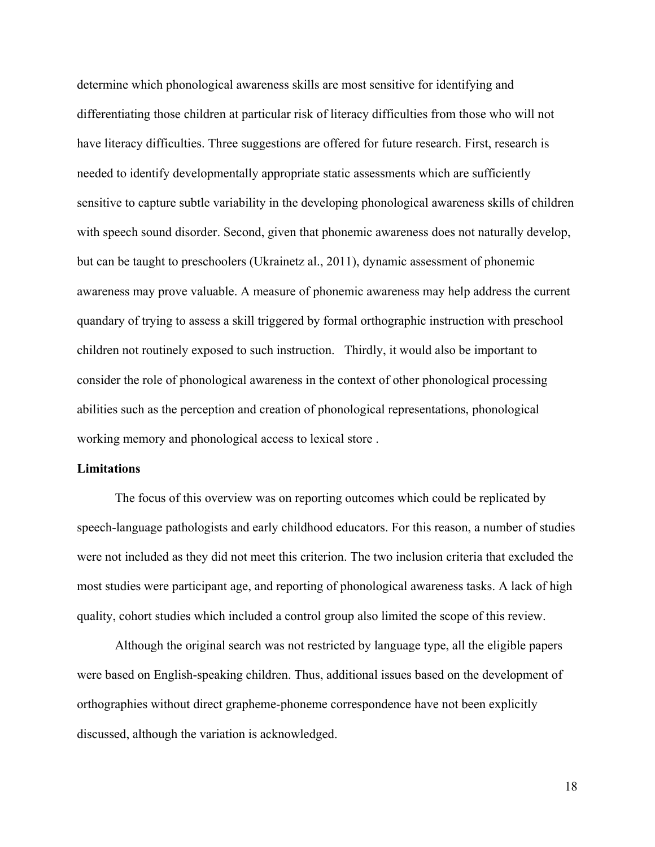determine which phonological awareness skills are most sensitive for identifying and differentiating those children at particular risk of literacy difficulties from those who will not have literacy difficulties. Three suggestions are offered for future research. First, research is needed to identify developmentally appropriate static assessments which are sufficiently sensitive to capture subtle variability in the developing phonological awareness skills of children with speech sound disorder. Second, given that phonemic awareness does not naturally develop, but can be taught to preschoolers (Ukrainetz al., 2011), dynamic assessment of phonemic awareness may prove valuable. A measure of phonemic awareness may help address the current quandary of trying to assess a skill triggered by formal orthographic instruction with preschool children not routinely exposed to such instruction. Thirdly, it would also be important to consider the role of phonological awareness in the context of other phonological processing abilities such as the perception and creation of phonological representations, phonological working memory and phonological access to lexical store .

### **Limitations**

The focus of this overview was on reporting outcomes which could be replicated by speech-language pathologists and early childhood educators. For this reason, a number of studies were not included as they did not meet this criterion. The two inclusion criteria that excluded the most studies were participant age, and reporting of phonological awareness tasks. A lack of high quality, cohort studies which included a control group also limited the scope of this review.

Although the original search was not restricted by language type, all the eligible papers were based on English-speaking children. Thus, additional issues based on the development of orthographies without direct grapheme-phoneme correspondence have not been explicitly discussed, although the variation is acknowledged.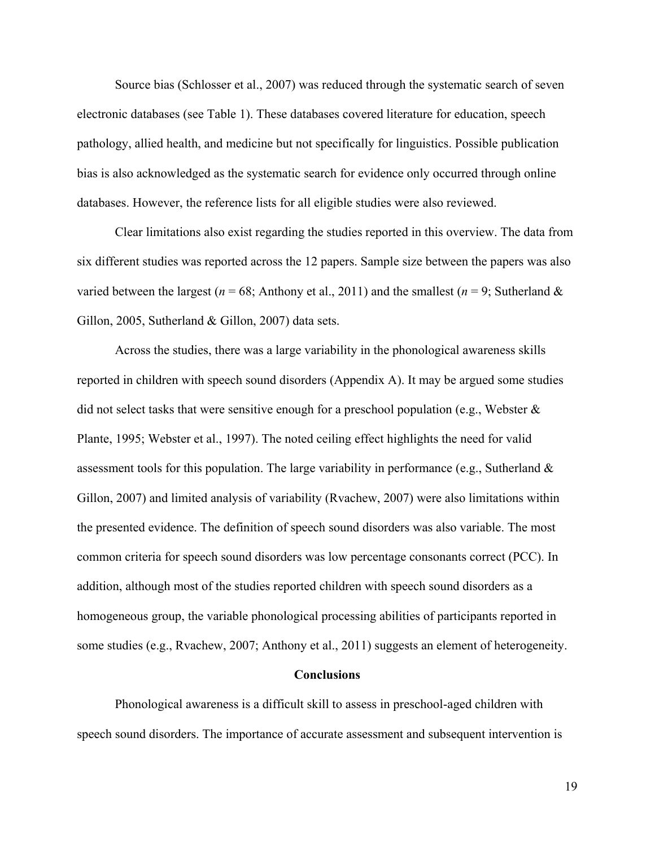Source bias (Schlosser et al., 2007) was reduced through the systematic search of seven electronic databases (see Table 1). These databases covered literature for education, speech pathology, allied health, and medicine but not specifically for linguistics. Possible publication bias is also acknowledged as the systematic search for evidence only occurred through online databases. However, the reference lists for all eligible studies were also reviewed.

Clear limitations also exist regarding the studies reported in this overview. The data from six different studies was reported across the 12 papers. Sample size between the papers was also varied between the largest ( $n = 68$ ; Anthony et al., 2011) and the smallest ( $n = 9$ ; Sutherland & Gillon, 2005, Sutherland & Gillon, 2007) data sets.

Across the studies, there was a large variability in the phonological awareness skills reported in children with speech sound disorders (Appendix A). It may be argued some studies did not select tasks that were sensitive enough for a preschool population (e.g., Webster  $\&$ Plante, 1995; Webster et al., 1997). The noted ceiling effect highlights the need for valid assessment tools for this population. The large variability in performance (e.g., Sutherland & Gillon, 2007) and limited analysis of variability (Rvachew, 2007) were also limitations within the presented evidence. The definition of speech sound disorders was also variable. The most common criteria for speech sound disorders was low percentage consonants correct (PCC). In addition, although most of the studies reported children with speech sound disorders as a homogeneous group, the variable phonological processing abilities of participants reported in some studies (e.g., Rvachew, 2007; Anthony et al., 2011) suggests an element of heterogeneity.

#### **Conclusions**

Phonological awareness is a difficult skill to assess in preschool-aged children with speech sound disorders. The importance of accurate assessment and subsequent intervention is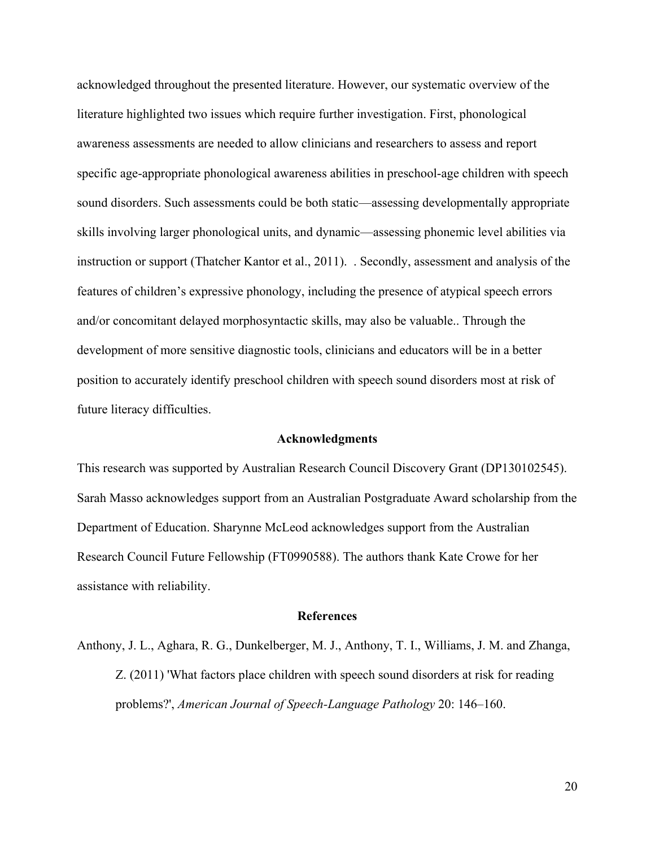acknowledged throughout the presented literature. However, our systematic overview of the literature highlighted two issues which require further investigation. First, phonological awareness assessments are needed to allow clinicians and researchers to assess and report specific age-appropriate phonological awareness abilities in preschool-age children with speech sound disorders. Such assessments could be both static—assessing developmentally appropriate skills involving larger phonological units, and dynamic—assessing phonemic level abilities via instruction or support (Thatcher Kantor et al., 2011). . Secondly, assessment and analysis of the features of children's expressive phonology, including the presence of atypical speech errors and/or concomitant delayed morphosyntactic skills, may also be valuable.. Through the development of more sensitive diagnostic tools, clinicians and educators will be in a better position to accurately identify preschool children with speech sound disorders most at risk of future literacy difficulties.

#### **Acknowledgments**

This research was supported by Australian Research Council Discovery Grant (DP130102545). Sarah Masso acknowledges support from an Australian Postgraduate Award scholarship from the Department of Education. Sharynne McLeod acknowledges support from the Australian Research Council Future Fellowship (FT0990588). The authors thank Kate Crowe for her assistance with reliability.

#### **References**

Anthony, J. L., Aghara, R. G., Dunkelberger, M. J., Anthony, T. I., Williams, J. M. and Zhanga, Z. (2011) 'What factors place children with speech sound disorders at risk for reading problems?', *American Journal of Speech-Language Pathology* 20: 146–160.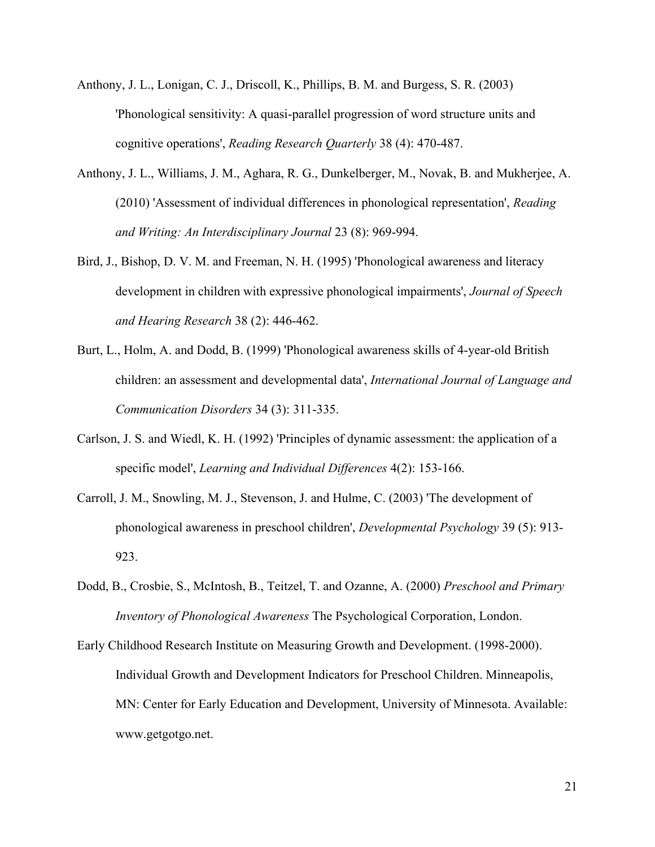- Anthony, J. L., Lonigan, C. J., Driscoll, K., Phillips, B. M. and Burgess, S. R. (2003) 'Phonological sensitivity: A quasi-parallel progression of word structure units and cognitive operations', *Reading Research Quarterly* 38 (4): 470-487.
- Anthony, J. L., Williams, J. M., Aghara, R. G., Dunkelberger, M., Novak, B. and Mukherjee, A. (2010) 'Assessment of individual differences in phonological representation', *Reading and Writing: An Interdisciplinary Journal* 23 (8): 969-994.
- Bird, J., Bishop, D. V. M. and Freeman, N. H. (1995) 'Phonological awareness and literacy development in children with expressive phonological impairments', *Journal of Speech and Hearing Research* 38 (2): 446-462.
- Burt, L., Holm, A. and Dodd, B. (1999) 'Phonological awareness skills of 4-year-old British children: an assessment and developmental data', *International Journal of Language and Communication Disorders* 34 (3): 311-335.
- Carlson, J. S. and Wiedl, K. H. (1992) 'Principles of dynamic assessment: the application of a specific model', *Learning and Individual Differences* 4(2): 153-166.
- Carroll, J. M., Snowling, M. J., Stevenson, J. and Hulme, C. (2003) 'The development of phonological awareness in preschool children', *Developmental Psychology* 39 (5): 913- 923.
- Dodd, B., Crosbie, S., McIntosh, B., Teitzel, T. and Ozanne, A. (2000) *Preschool and Primary Inventory of Phonological Awareness* The Psychological Corporation, London.
- Early Childhood Research Institute on Measuring Growth and Development. (1998-2000). Individual Growth and Development Indicators for Preschool Children. Minneapolis, MN: Center for Early Education and Development, University of Minnesota. Available: www.getgotgo.net.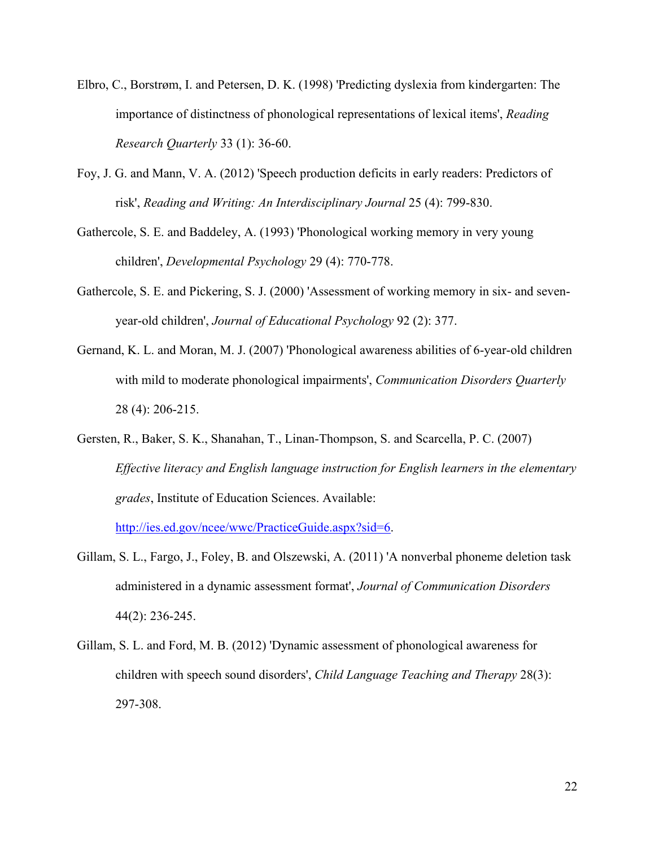- Elbro, C., Borstrøm, I. and Petersen, D. K. (1998) 'Predicting dyslexia from kindergarten: The importance of distinctness of phonological representations of lexical items', *Reading Research Quarterly* 33 (1): 36-60.
- Foy, J. G. and Mann, V. A. (2012) 'Speech production deficits in early readers: Predictors of risk', *Reading and Writing: An Interdisciplinary Journal* 25 (4): 799-830.
- Gathercole, S. E. and Baddeley, A. (1993) 'Phonological working memory in very young children', *Developmental Psychology* 29 (4): 770-778.
- Gathercole, S. E. and Pickering, S. J. (2000) 'Assessment of working memory in six- and sevenyear-old children', *Journal of Educational Psychology* 92 (2): 377.
- Gernand, K. L. and Moran, M. J. (2007) 'Phonological awareness abilities of 6-year-old children with mild to moderate phonological impairments', *Communication Disorders Quarterly* 28 (4): 206-215.
- Gersten, R., Baker, S. K., Shanahan, T., Linan-Thompson, S. and Scarcella, P. C. (2007) *Effective literacy and English language instruction for English learners in the elementary grades*, Institute of Education Sciences. Available:

[http://ies.ed.gov/ncee/wwc/PracticeGuide.aspx?sid=6.](http://ies.ed.gov/ncee/wwc/PracticeGuide.aspx?sid=6)

- Gillam, S. L., Fargo, J., Foley, B. and Olszewski, A. (2011) 'A nonverbal phoneme deletion task administered in a dynamic assessment format', *Journal of Communication Disorders* 44(2): 236-245.
- Gillam, S. L. and Ford, M. B. (2012) 'Dynamic assessment of phonological awareness for children with speech sound disorders', *Child Language Teaching and Therapy* 28(3): 297-308.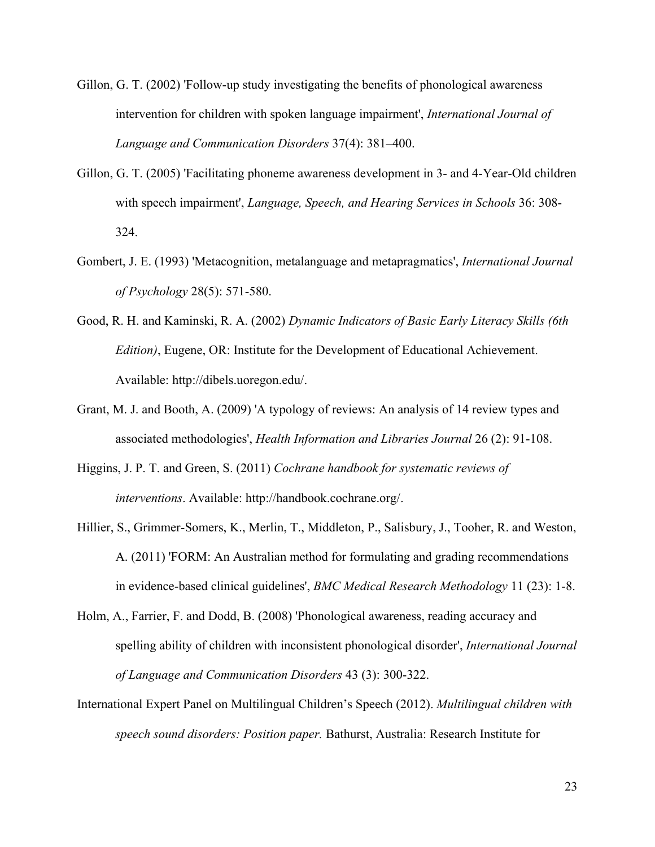- Gillon, G. T. (2002) 'Follow-up study investigating the benefits of phonological awareness intervention for children with spoken language impairment', *International Journal of Language and Communication Disorders* 37(4): 381–400.
- Gillon, G. T. (2005) 'Facilitating phoneme awareness development in 3- and 4-Year-Old children with speech impairment', *Language, Speech, and Hearing Services in Schools* 36: 308- 324.
- Gombert, J. E. (1993) 'Metacognition, metalanguage and metapragmatics', *International Journal of Psychology* 28(5): 571-580.
- Good, R. H. and Kaminski, R. A. (2002) *Dynamic Indicators of Basic Early Literacy Skills (6th Edition)*, Eugene, OR: Institute for the Development of Educational Achievement. Available: http://dibels.uoregon.edu/.
- Grant, M. J. and Booth, A. (2009) 'A typology of reviews: An analysis of 14 review types and associated methodologies', *Health Information and Libraries Journal* 26 (2): 91-108.
- Higgins, J. P. T. and Green, S. (2011) *Cochrane handbook for systematic reviews of interventions*. Available: http://handbook.cochrane.org/.
- Hillier, S., Grimmer-Somers, K., Merlin, T., Middleton, P., Salisbury, J., Tooher, R. and Weston, A. (2011) 'FORM: An Australian method for formulating and grading recommendations in evidence-based clinical guidelines', *BMC Medical Research Methodology* 11 (23): 1-8.
- Holm, A., Farrier, F. and Dodd, B. (2008) 'Phonological awareness, reading accuracy and spelling ability of children with inconsistent phonological disorder', *International Journal of Language and Communication Disorders* 43 (3): 300-322.
- International Expert Panel on Multilingual Children's Speech (2012). *Multilingual children with speech sound disorders: Position paper.* Bathurst, Australia: Research Institute for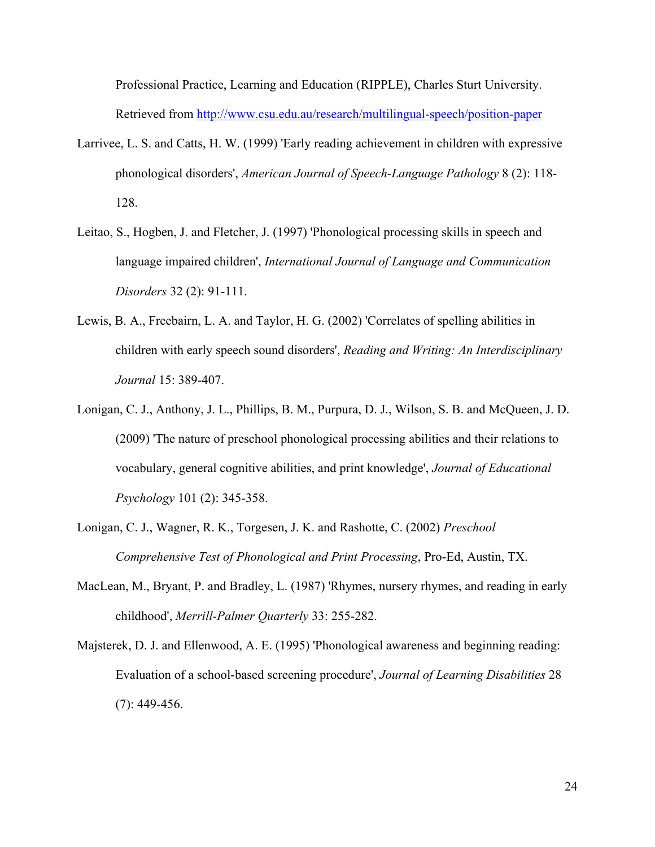Professional Practice, Learning and Education (RIPPLE), Charles Sturt University. Retrieved from<http://www.csu.edu.au/research/multilingual-speech/position-paper>

- Larrivee, L. S. and Catts, H. W. (1999) 'Early reading achievement in children with expressive phonological disorders', *American Journal of Speech-Language Pathology* 8 (2): 118- 128.
- Leitao, S., Hogben, J. and Fletcher, J. (1997) 'Phonological processing skills in speech and language impaired children', *International Journal of Language and Communication Disorders* 32 (2): 91-111.
- Lewis, B. A., Freebairn, L. A. and Taylor, H. G. (2002) 'Correlates of spelling abilities in children with early speech sound disorders', *Reading and Writing: An Interdisciplinary Journal* 15: 389-407.
- Lonigan, C. J., Anthony, J. L., Phillips, B. M., Purpura, D. J., Wilson, S. B. and McQueen, J. D. (2009) 'The nature of preschool phonological processing abilities and their relations to vocabulary, general cognitive abilities, and print knowledge', *Journal of Educational Psychology* 101 (2): 345-358.
- Lonigan, C. J., Wagner, R. K., Torgesen, J. K. and Rashotte, C. (2002) *Preschool Comprehensive Test of Phonological and Print Processing*, Pro-Ed, Austin, TX.
- MacLean, M., Bryant, P. and Bradley, L. (1987) 'Rhymes, nursery rhymes, and reading in early childhood', *Merrill-Palmer Quarterly* 33: 255-282.
- Majsterek, D. J. and Ellenwood, A. E. (1995) 'Phonological awareness and beginning reading: Evaluation of a school-based screening procedure', *Journal of Learning Disabilities* 28 (7): 449-456.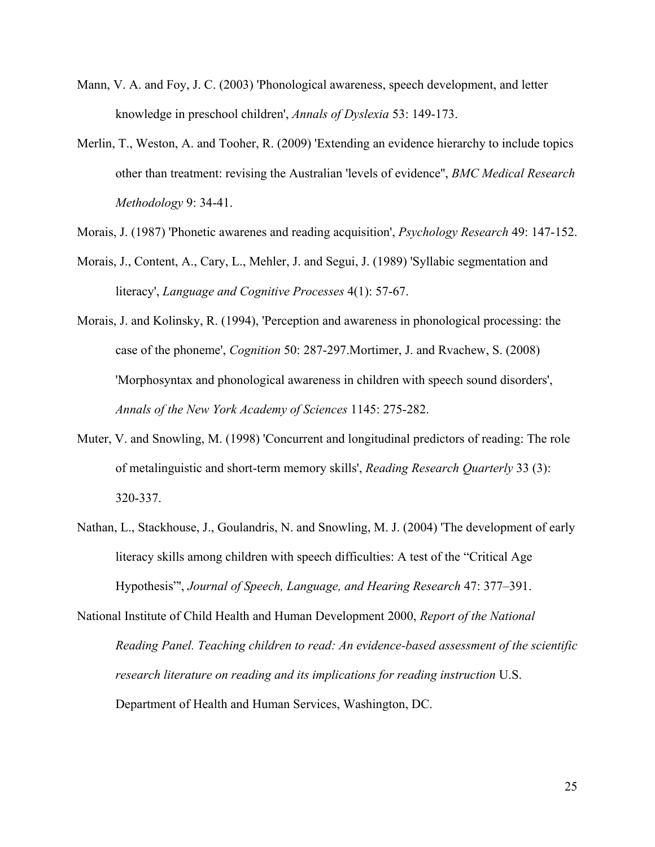- Mann, V. A. and Foy, J. C. (2003) 'Phonological awareness, speech development, and letter knowledge in preschool children', *Annals of Dyslexia* 53: 149-173.
- Merlin, T., Weston, A. and Tooher, R. (2009) 'Extending an evidence hierarchy to include topics other than treatment: revising the Australian 'levels of evidence'', *BMC Medical Research Methodology* 9: 34-41.
- Morais, J. (1987) 'Phonetic awarenes and reading acquisition', *Psychology Research* 49: 147-152.
- Morais, J., Content, A., Cary, L., Mehler, J. and Segui, J. (1989) 'Syllabic segmentation and literacy', *Language and Cognitive Processes* 4(1): 57-67.
- Morais, J. and Kolinsky, R. (1994), 'Perception and awareness in phonological processing: the case of the phoneme', *Cognition* 50: 287-297.Mortimer, J. and Rvachew, S. (2008) 'Morphosyntax and phonological awareness in children with speech sound disorders', *Annals of the New York Academy of Sciences* 1145: 275-282.
- Muter, V. and Snowling, M. (1998) 'Concurrent and longitudinal predictors of reading: The role of metalinguistic and short-term memory skills', *Reading Research Quarterly* 33 (3): 320-337.
- Nathan, L., Stackhouse, J., Goulandris, N. and Snowling, M. J. (2004) 'The development of early literacy skills among children with speech difficulties: A test of the "Critical Age Hypothesis"', *Journal of Speech, Language, and Hearing Research* 47: 377–391.

National Institute of Child Health and Human Development 2000, *Report of the National Reading Panel. Teaching children to read: An evidence-based assessment of the scientific research literature on reading and its implications for reading instruction* U.S. Department of Health and Human Services, Washington, DC.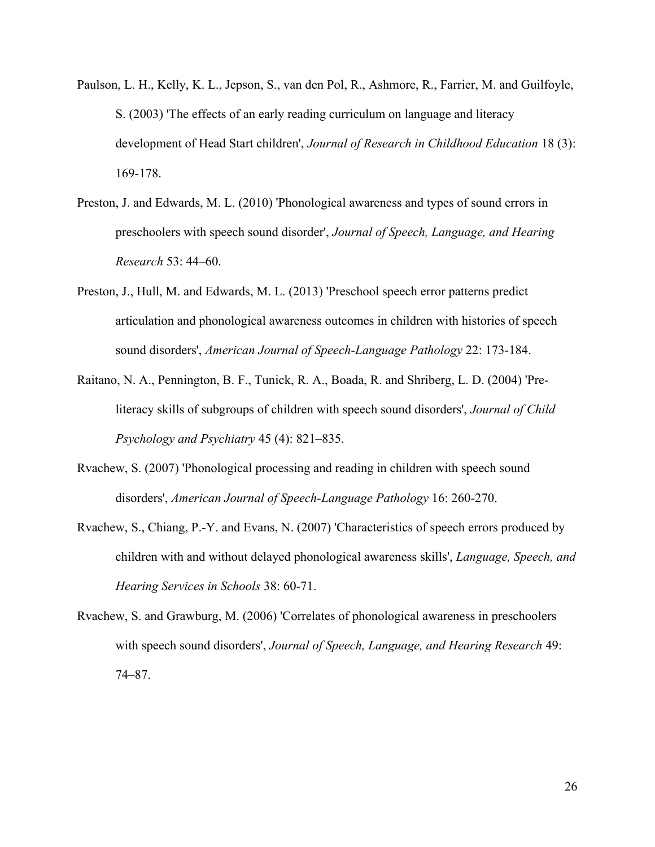- Paulson, L. H., Kelly, K. L., Jepson, S., van den Pol, R., Ashmore, R., Farrier, M. and Guilfoyle, S. (2003) 'The effects of an early reading curriculum on language and literacy development of Head Start children', *Journal of Research in Childhood Education* 18 (3): 169-178.
- Preston, J. and Edwards, M. L. (2010) 'Phonological awareness and types of sound errors in preschoolers with speech sound disorder', *Journal of Speech, Language, and Hearing Research* 53: 44–60.
- Preston, J., Hull, M. and Edwards, M. L. (2013) 'Preschool speech error patterns predict articulation and phonological awareness outcomes in children with histories of speech sound disorders', *American Journal of Speech-Language Pathology* 22: 173-184.
- Raitano, N. A., Pennington, B. F., Tunick, R. A., Boada, R. and Shriberg, L. D. (2004) 'Preliteracy skills of subgroups of children with speech sound disorders', *Journal of Child Psychology and Psychiatry* 45 (4): 821–835.
- Rvachew, S. (2007) 'Phonological processing and reading in children with speech sound disorders', *American Journal of Speech-Language Pathology* 16: 260-270.
- Rvachew, S., Chiang, P.-Y. and Evans, N. (2007) 'Characteristics of speech errors produced by children with and without delayed phonological awareness skills', *Language, Speech, and Hearing Services in Schools* 38: 60-71.
- Rvachew, S. and Grawburg, M. (2006) 'Correlates of phonological awareness in preschoolers with speech sound disorders', *Journal of Speech, Language, and Hearing Research* 49: 74–87.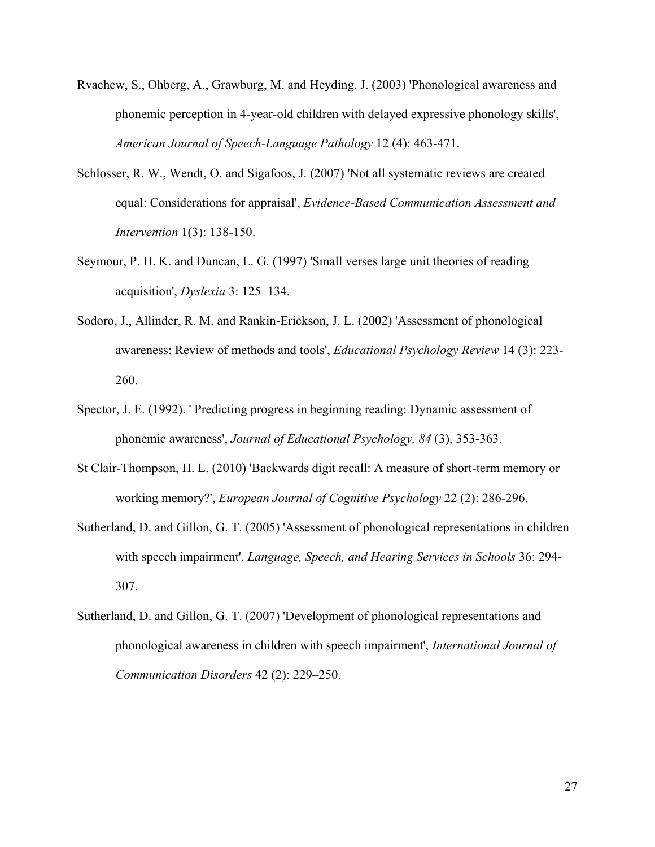- Rvachew, S., Ohberg, A., Grawburg, M. and Heyding, J. (2003) 'Phonological awareness and phonemic perception in 4-year-old children with delayed expressive phonology skills', *American Journal of Speech-Language Pathology* 12 (4): 463-471.
- Schlosser, R. W., Wendt, O. and Sigafoos, J. (2007) 'Not all systematic reviews are created equal: Considerations for appraisal', *Evidence-Based Communication Assessment and Intervention* 1(3): 138-150.
- Seymour, P. H. K. and Duncan, L. G. (1997) 'Small verses large unit theories of reading acquisition', *Dyslexia* 3: 125–134.
- Sodoro, J., Allinder, R. M. and Rankin-Erickson, J. L. (2002) 'Assessment of phonological awareness: Review of methods and tools', *Educational Psychology Review* 14 (3): 223- 260.
- Spector, J. E. (1992). ' Predicting progress in beginning reading: Dynamic assessment of phonemic awareness', *Journal of Educational Psychology, 84* (3), 353-363.
- St Clair-Thompson, H. L. (2010) 'Backwards digit recall: A measure of short-term memory or working memory?', *European Journal of Cognitive Psychology* 22 (2): 286-296.
- Sutherland, D. and Gillon, G. T. (2005) 'Assessment of phonological representations in children with speech impairment', *Language, Speech, and Hearing Services in Schools* 36: 294- 307.
- Sutherland, D. and Gillon, G. T. (2007) 'Development of phonological representations and phonological awareness in children with speech impairment', *International Journal of Communication Disorders* 42 (2): 229–250.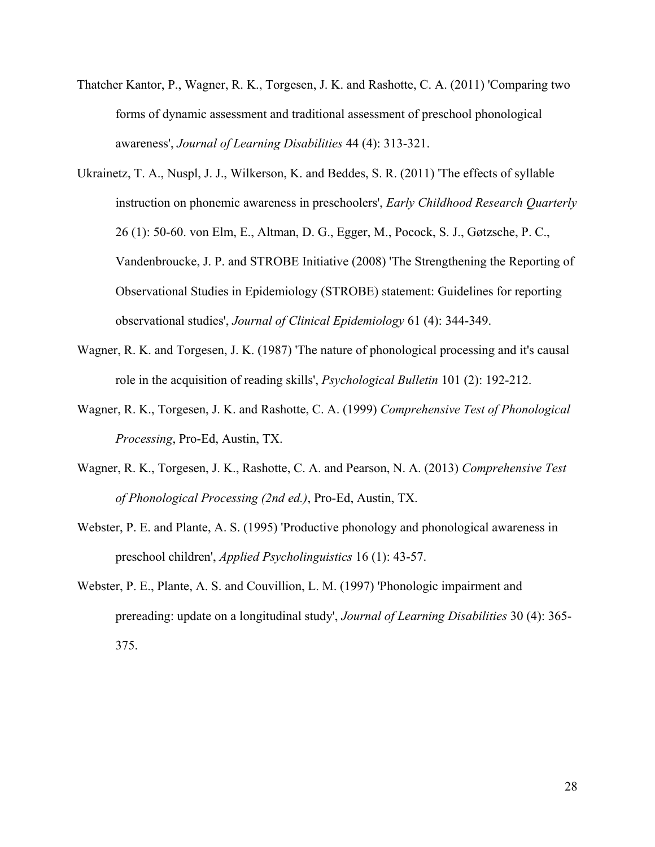- Thatcher Kantor, P., Wagner, R. K., Torgesen, J. K. and Rashotte, C. A. (2011) 'Comparing two forms of dynamic assessment and traditional assessment of preschool phonological awareness', *Journal of Learning Disabilities* 44 (4): 313-321.
- Ukrainetz, T. A., Nuspl, J. J., Wilkerson, K. and Beddes, S. R. (2011) 'The effects of syllable instruction on phonemic awareness in preschoolers', *Early Childhood Research Quarterly* 26 (1): 50-60. von Elm, E., Altman, D. G., Egger, M., Pocock, S. J., Gøtzsche, P. C., Vandenbroucke, J. P. and STROBE Initiative (2008) 'The Strengthening the Reporting of Observational Studies in Epidemiology (STROBE) statement: Guidelines for reporting observational studies', *Journal of Clinical Epidemiology* 61 (4): 344-349.
- Wagner, R. K. and Torgesen, J. K. (1987) 'The nature of phonological processing and it's causal role in the acquisition of reading skills', *Psychological Bulletin* 101 (2): 192-212.
- Wagner, R. K., Torgesen, J. K. and Rashotte, C. A. (1999) *Comprehensive Test of Phonological Processing*, Pro-Ed, Austin, TX.
- Wagner, R. K., Torgesen, J. K., Rashotte, C. A. and Pearson, N. A. (2013) *Comprehensive Test of Phonological Processing (2nd ed.)*, Pro-Ed, Austin, TX.
- Webster, P. E. and Plante, A. S. (1995) 'Productive phonology and phonological awareness in preschool children', *Applied Psycholinguistics* 16 (1): 43-57.
- Webster, P. E., Plante, A. S. and Couvillion, L. M. (1997) 'Phonologic impairment and prereading: update on a longitudinal study', *Journal of Learning Disabilities* 30 (4): 365- 375.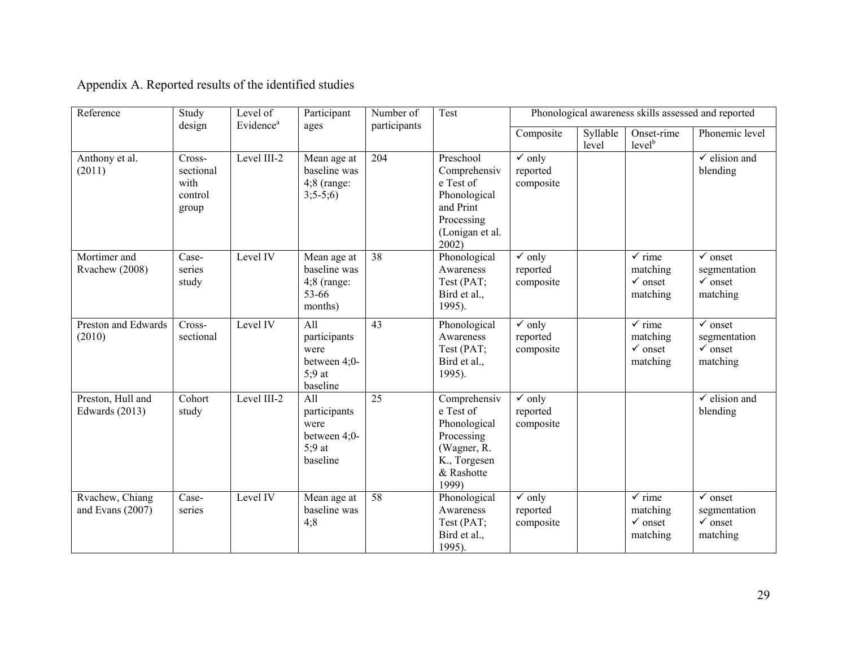| Reference                             | Study<br>design                                 | Level of<br>Evidence <sup>a</sup> | Participant<br>ages                                                 | Number of<br>participants | Test                                                                                                          | Phonological awareness skills assessed and reported   |                   |                                                                 |                                                                                |
|---------------------------------------|-------------------------------------------------|-----------------------------------|---------------------------------------------------------------------|---------------------------|---------------------------------------------------------------------------------------------------------------|-------------------------------------------------------|-------------------|-----------------------------------------------------------------|--------------------------------------------------------------------------------|
|                                       |                                                 |                                   |                                                                     |                           |                                                                                                               | Composite                                             | Syllable<br>level | Onset-rime<br>level <sup>b</sup>                                | Phonemic level                                                                 |
| Anthony et al.<br>(2011)              | Cross-<br>sectional<br>with<br>control<br>group | Level III-2                       | Mean age at<br>baseline was<br>$4:8$ (range:<br>$3;5-5;6)$          | 204                       | Preschool<br>Comprehensiv<br>e Test of<br>Phonological<br>and Print<br>Processing<br>(Lonigan et al.<br>2002) | $\overline{\mathsf{v}}$ only<br>reported<br>composite |                   |                                                                 | $\checkmark$ elision and<br>blending                                           |
| Mortimer and<br>Rvachew (2008)        | Case-<br>series<br>study                        | Level IV                          | Mean age at<br>baseline was<br>$4;8$ (range:<br>53-66<br>months)    | 38                        | Phonological<br>Awareness<br>Test (PAT;<br>Bird et al.,<br>1995).                                             | $\checkmark$ only<br>reported<br>composite            |                   | $\sqrt{\ }$ rime<br>matching<br>$\checkmark$ onset<br>matching  | $\checkmark$ onset<br>segmentation<br>$\checkmark$ onset<br>matching           |
| Preston and Edwards<br>(2010)         | Cross-<br>sectional                             | Level IV                          | All<br>participants<br>were<br>between 4;0-<br>$5:9$ at<br>baseline | 43                        | Phonological<br>Awareness<br>Test (PAT;<br>Bird et al.,<br>1995).                                             | $\checkmark$ only<br>reported<br>composite            |                   | $\checkmark$ rime<br>matching<br>$\checkmark$ onset<br>matching | $\overline{\checkmark}$ onset<br>segmentation<br>$\sqrt{\ }$ onset<br>matching |
| Preston, Hull and<br>Edwards $(2013)$ | Cohort<br>study                                 | Level III-2                       | All<br>participants<br>were<br>between 4;0-<br>$5:9$ at<br>baseline | $\overline{25}$           | Comprehensiv<br>e Test of<br>Phonological<br>Processing<br>(Wagner, R.<br>K., Torgesen<br>& Rashotte<br>1999) | $\checkmark$ only<br>reported<br>composite            |                   |                                                                 | $\checkmark$ elision and<br>blending                                           |
| Rvachew, Chiang<br>and Evans (2007)   | Case-<br>series                                 | Level IV                          | Mean age at<br>baseline was<br>4;8                                  | 58                        | Phonological<br>Awareness<br>Test (PAT;<br>Bird et al.,<br>1995).                                             | $\checkmark$ only<br>reported<br>composite            |                   | $\sqrt{\ }$ rime<br>matching<br>$\checkmark$ onset<br>matching  | $\checkmark$ onset<br>segmentation<br>$\checkmark$ onset<br>matching           |

Appendix A. Reported results of the identified studies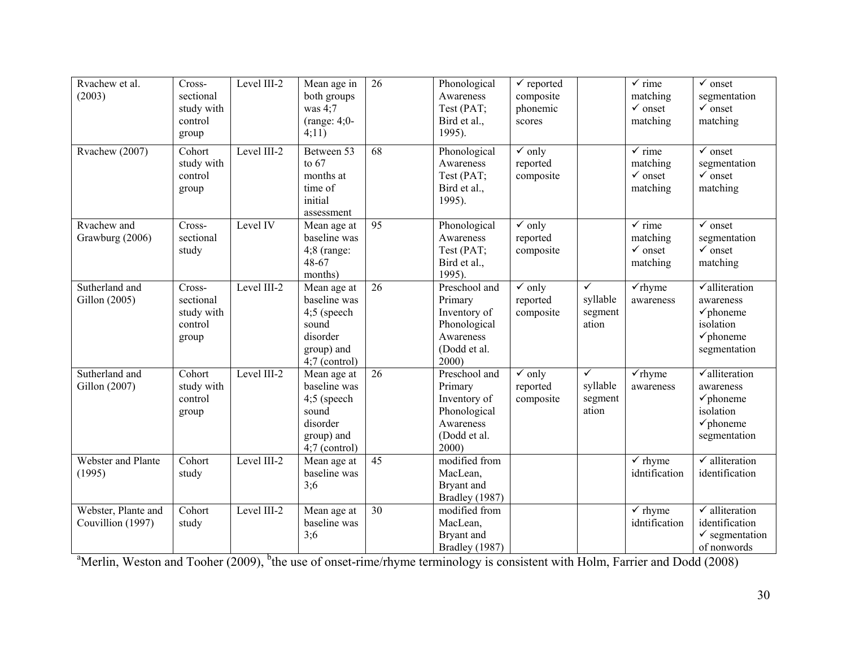| Rvachew et al.<br>(2003)                 | Cross-<br>sectional<br>study with<br>control<br>group | Level III-2 | Mean age in<br>both groups<br>was $4:7$<br>$(range: 4;0-$<br>4;11)                                 | 26              | Phonological<br>Awareness<br>Test (PAT;<br>Bird et al.,<br>1995).                              | $\overline{\checkmark}$ reported<br>composite<br>phonemic<br>scores |                                              | $\checkmark$ rime<br>matching<br>$\checkmark$ onset<br>matching    | $\overline{\checkmark}$ onset<br>segmentation<br>$\checkmark$ onset<br>matching                                        |
|------------------------------------------|-------------------------------------------------------|-------------|----------------------------------------------------------------------------------------------------|-----------------|------------------------------------------------------------------------------------------------|---------------------------------------------------------------------|----------------------------------------------|--------------------------------------------------------------------|------------------------------------------------------------------------------------------------------------------------|
| Rvachew (2007)                           | Cohort<br>study with<br>control<br>group              | Level III-2 | Between 53<br>to $67$<br>months at<br>time of<br>initial<br>assessment                             | 68              | Phonological<br>Awareness<br>Test (PAT;<br>Bird et al.,<br>1995).                              | $\checkmark$ only<br>reported<br>composite                          |                                              | $\sqrt{\ }$ rime<br>matching<br>$\checkmark$ onset<br>matching     | $\sqrt{\ }$ onset<br>segmentation<br>$\checkmark$ onset<br>matching                                                    |
| Rvachew and<br>Grawburg (2006)           | Cross-<br>sectional<br>study                          | Level IV    | Mean age at<br>baseline was<br>$4;8$ (range:<br>48-67<br>months)                                   | 95              | Phonological<br>Awareness<br>Test (PAT;<br>Bird et al.,<br>1995).                              | $\checkmark$ only<br>reported<br>composite                          |                                              | $\sqrt{\text{rime}}$<br>matching<br>$\checkmark$ onset<br>matching | $\checkmark$ onset<br>segmentation<br>$\checkmark$ onset<br>matching                                                   |
| Sutherland and<br>Gillon (2005)          | Cross-<br>sectional<br>study with<br>control<br>group | Level III-2 | Mean age at<br>baseline was<br>4;5 (speech<br>sound<br>disorder<br>group) and<br>$4;7$ (control)   | $\overline{26}$ | Preschool and<br>Primary<br>Inventory of<br>Phonological<br>Awareness<br>(Dodd et al.<br>2000) | $\checkmark$ only<br>reported<br>composite                          | $\checkmark$<br>syllable<br>segment<br>ation | $\checkmark$ rhyme<br>awareness                                    | $\sqrt{\text{alliteration}}$<br>awareness<br>$\checkmark$ phoneme<br>isolation<br>$\checkmark$ phoneme<br>segmentation |
| Sutherland and<br>Gillon (2007)          | Cohort<br>study with<br>control<br>group              | Level III-2 | Mean age at<br>baseline was<br>$4;5$ (speech<br>sound<br>disorder<br>group) and<br>$4;7$ (control) | $\overline{26}$ | Preschool and<br>Primary<br>Inventory of<br>Phonological<br>Awareness<br>(Dodd et al.<br>2000) | $\overline{\mathsf{v}}$ only<br>reported<br>composite               | $\checkmark$<br>syllable<br>segment<br>ation | $\checkmark$ rhyme<br>awareness                                    | $\sqrt{\text{alliteration}}$<br>awareness<br>$\checkmark$ phoneme<br>isolation<br>$\checkmark$ phoneme<br>segmentation |
| Webster and Plante<br>(1995)             | Cohort<br>study                                       | Level III-2 | Mean age at<br>baseline was<br>3:6                                                                 | 45              | modified from<br>MacLean,<br>Bryant and<br>Bradley (1987)                                      |                                                                     |                                              | $\checkmark$ rhyme<br>idntification                                | $\checkmark$ alliteration<br>identification                                                                            |
| Webster, Plante and<br>Couvillion (1997) | Cohort<br>study                                       | Level III-2 | Mean age at<br>baseline was<br>3:6                                                                 | 30              | modified from<br>MacLean,<br>Bryant and<br>Bradley (1987)                                      |                                                                     |                                              | $\checkmark$ rhyme<br>idntification                                | $\checkmark$ alliteration<br>identification<br>$\checkmark$ segmentation<br>of nonwords                                |

<sup>a</sup>Merlin, Weston and Tooher (2009), <sup>b</sup>the use of onset-rime/rhyme terminology is consistent with Holm, Farrier and Dodd (2008)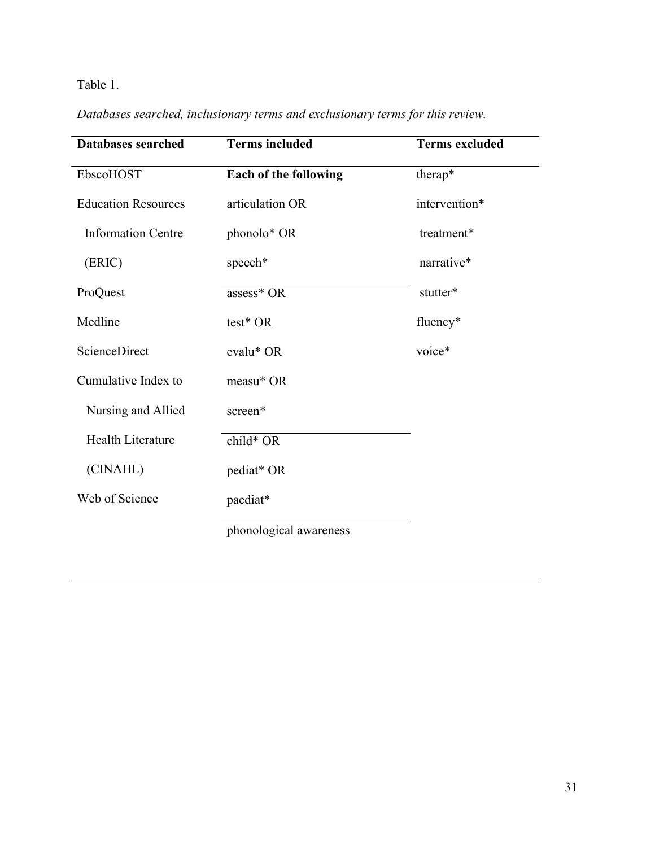# Table 1.

| <b>Databases searched</b>  | <b>Terms included</b>        | <b>Terms excluded</b> |  |  |
|----------------------------|------------------------------|-----------------------|--|--|
| EbscoHOST                  | <b>Each of the following</b> | therap*               |  |  |
| <b>Education Resources</b> | articulation OR              | intervention*         |  |  |
| <b>Information Centre</b>  | phonolo* OR                  | treatment*            |  |  |
| (ERIC)                     | speech*                      | narrative*            |  |  |
| ProQuest                   | assess* OR                   | stutter*              |  |  |
| Medline                    | test* OR                     | fluency*              |  |  |
| ScienceDirect              | evalu* OR                    | voice*                |  |  |
| Cumulative Index to        | measu* OR                    |                       |  |  |
| Nursing and Allied         | screen*                      |                       |  |  |
| Health Literature          | child* OR                    |                       |  |  |
| (CINAHL)                   | pediat* OR                   |                       |  |  |
| Web of Science             | paediat*                     |                       |  |  |
|                            | phonological awareness       |                       |  |  |

*Databases searched, inclusionary terms and exclusionary terms for this review.*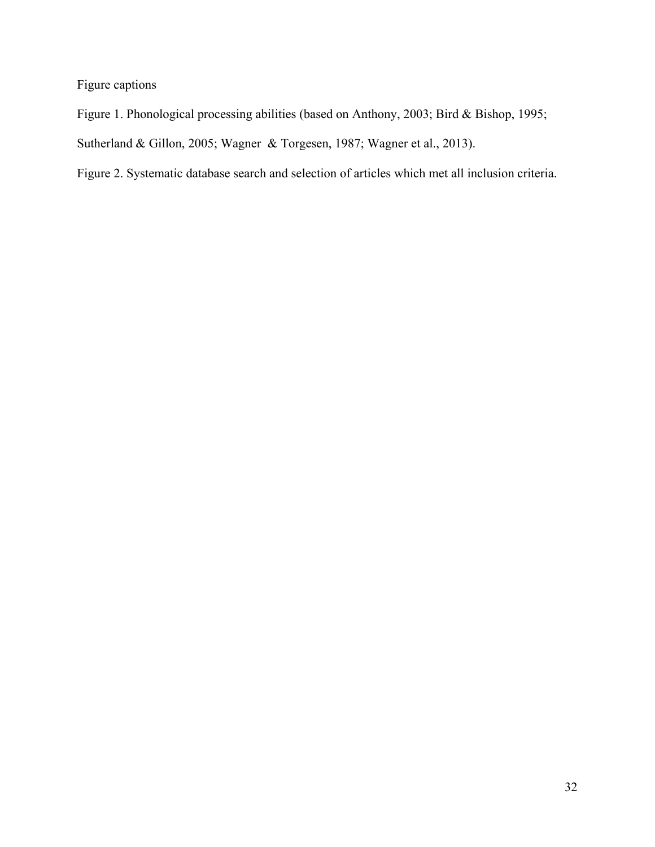Figure captions

Figure 1. Phonological processing abilities (based on Anthony, 2003; Bird & Bishop, 1995; Sutherland & Gillon, 2005; Wagner & Torgesen, 1987; Wagner et al., 2013).

Figure 2. Systematic database search and selection of articles which met all inclusion criteria.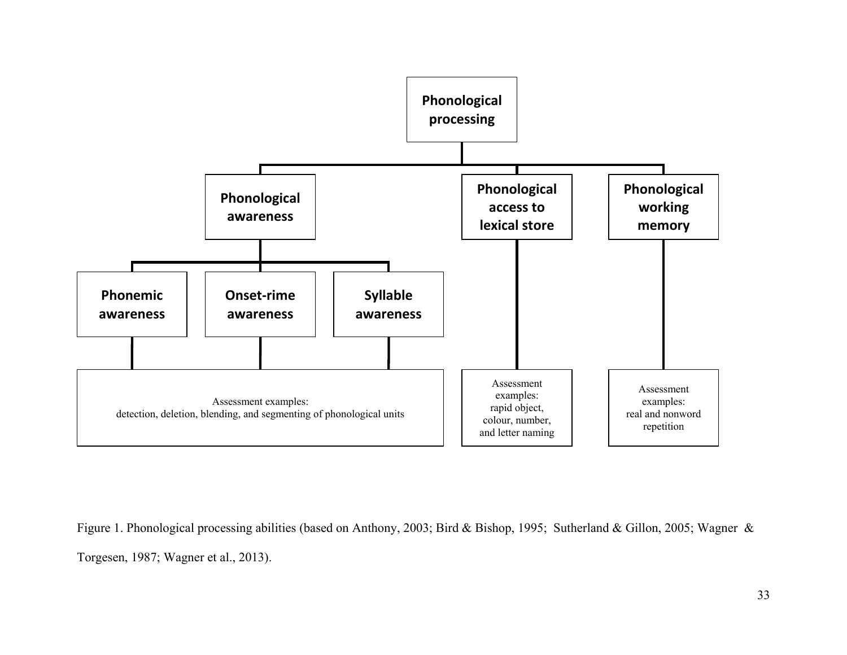

Figure 1. Phonological processing abilities (based on Anthony, 2003; Bird & Bishop, 1995; Sutherland & Gillon, 2005; Wagner & Torgesen, 1987; Wagner et al., 2013).